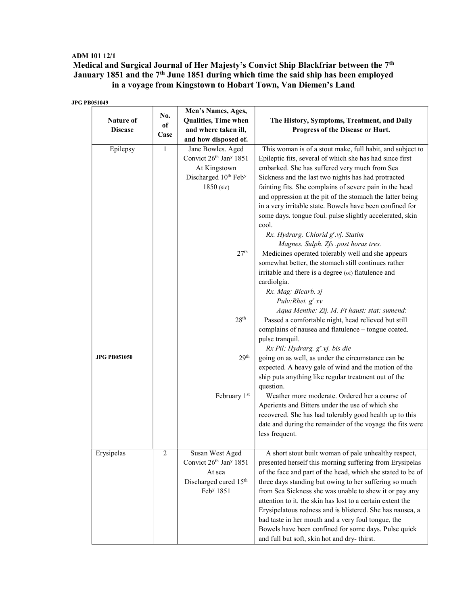## ADM 101 12/1 Medical and Surgical Journal of Her Majesty's Convict Ship Blackfriar between the 7<sup>th</sup> January 1851 and the 7<sup>th</sup> June 1851 during which time the said ship has been employed in a voyage from Kingstown to Hobart Town, Van Diemen's Land

JPG PB051049

| <b>Nature of</b><br><b>Disease</b> | No.<br>of<br>Case | Men's Names, Ages,<br>Qualities, Time when<br>and where taken ill,<br>and how disposed of. | The History, Symptoms, Treatment, and Daily<br>Progress of the Disease or Hurt. |
|------------------------------------|-------------------|--------------------------------------------------------------------------------------------|---------------------------------------------------------------------------------|
| Epilepsy                           | $\mathbf{1}$      | Jane Bowles. Aged                                                                          | This woman is of a stout make, full habit, and subject to                       |
|                                    |                   | Convict 26th Jan <sup>y</sup> 1851                                                         | Epileptic fits, several of which she has had since first                        |
|                                    |                   | At Kingstown                                                                               | embarked. She has suffered very much from Sea                                   |
|                                    |                   | Discharged 10 <sup>th</sup> Feb <sup>y</sup>                                               | Sickness and the last two nights has had protracted                             |
|                                    |                   | 1850 (sic)                                                                                 | fainting fits. She complains of severe pain in the head                         |
|                                    |                   |                                                                                            | and oppression at the pit of the stomach the latter being                       |
|                                    |                   |                                                                                            | in a very irritable state. Bowels have been confined for                        |
|                                    |                   |                                                                                            | some days. tongue foul. pulse slightly accelerated, skin                        |
|                                    |                   |                                                                                            | cool.                                                                           |
|                                    |                   |                                                                                            | Rx. Hydrarg. Chlorid g'.vj. Statim                                              |
|                                    |                   |                                                                                            | Magnes. Sulph. Zfs .post horas tres.                                            |
|                                    |                   | 27 <sup>th</sup>                                                                           | Medicines operated tolerably well and she appears                               |
|                                    |                   |                                                                                            | somewhat better, the stomach still continues rather                             |
|                                    |                   |                                                                                            | irritable and there is a degree (of) flatulence and<br>cardiolgia.              |
|                                    |                   |                                                                                            | Rx. Mag: Bicarb. aj                                                             |
|                                    |                   |                                                                                            | Pulv:Rhei. g'.xv                                                                |
|                                    |                   |                                                                                            | Aqua Menthe: Zij. M. Ft haust: stat: sumend:                                    |
|                                    |                   | 28 <sup>th</sup>                                                                           | Passed a comfortable night, head relieved but still                             |
|                                    |                   |                                                                                            | complains of nausea and flatulence - tongue coated.                             |
|                                    |                   |                                                                                            | pulse tranquil.                                                                 |
|                                    |                   |                                                                                            | Rx Pil; Hydrarg. g'.vj. bis die                                                 |
| <b>JPG PB051050</b>                |                   | 29 <sup>th</sup>                                                                           | going on as well, as under the circumstance can be                              |
|                                    |                   |                                                                                            | expected. A heavy gale of wind and the motion of the                            |
|                                    |                   |                                                                                            | ship puts anything like regular treatment out of the                            |
|                                    |                   |                                                                                            | question.                                                                       |
|                                    |                   | February 1st                                                                               | Weather more moderate. Ordered her a course of                                  |
|                                    |                   |                                                                                            | Aperients and Bitters under the use of which she                                |
|                                    |                   |                                                                                            | recovered. She has had tolerably good health up to this                         |
|                                    |                   |                                                                                            | date and during the remainder of the voyage the fits were                       |
|                                    |                   |                                                                                            | less frequent.                                                                  |
| Erysipelas                         | $\overline{2}$    | Susan West Aged                                                                            | A short stout built woman of pale unhealthy respect,                            |
|                                    |                   | Convict 26th Jan <sup>y</sup> 1851                                                         | presented herself this morning suffering from Erysipelas                        |
|                                    |                   | At sea                                                                                     | of the face and part of the head, which she stated to be of                     |
|                                    |                   | Discharged cured 15th                                                                      | three days standing but owing to her suffering so much                          |
|                                    |                   | Feb <sup>y</sup> 1851                                                                      | from Sea Sickness she was unable to shew it or pay any                          |
|                                    |                   |                                                                                            | attention to it. the skin has lost to a certain extent the                      |
|                                    |                   |                                                                                            | Erysipelatous redness and is blistered. She has nausea, a                       |
|                                    |                   |                                                                                            | bad taste in her mouth and a very foul tongue, the                              |
|                                    |                   |                                                                                            | Bowels have been confined for some days. Pulse quick                            |
|                                    |                   |                                                                                            | and full but soft, skin hot and dry-thirst.                                     |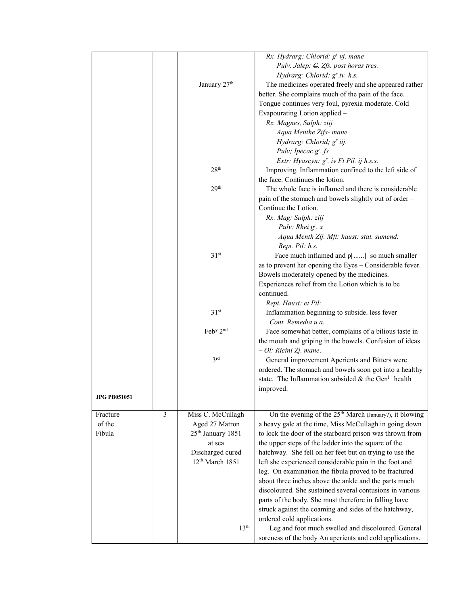|                     |   |                                       | Rx. Hydrarg: Chlorid: g' vj. mane                                   |
|---------------------|---|---------------------------------------|---------------------------------------------------------------------|
|                     |   |                                       | Pulv. Jalep: C. Zfs. post horas tres.                               |
|                     |   |                                       | Hydrarg: Chlorid: g'.iv. h.s.                                       |
|                     |   | January 27 <sup>th</sup>              | The medicines operated freely and she appeared rather               |
|                     |   |                                       | better. She complains much of the pain of the face.                 |
|                     |   |                                       | Tongue continues very foul, pyrexia moderate. Cold                  |
|                     |   |                                       | Evapourating Lotion applied -                                       |
|                     |   |                                       | Rx. Magnes, Sulph: ziij                                             |
|                     |   |                                       | Aqua Menthe Zifs- mane                                              |
|                     |   |                                       | Hydrarg: Chlorid; g' iij.                                           |
|                     |   |                                       | Pulv; Ipecac g'. fs                                                 |
|                     |   |                                       | Extr: Hyascyn: g'. iv Ft Pil. ij h.s.s.                             |
|                     |   | 28 <sup>th</sup>                      | Improving. Inflammation confined to the left side of                |
|                     |   |                                       | the face. Continues the lotion.                                     |
|                     |   | 29 <sup>th</sup>                      | The whole face is inflamed and there is considerable                |
|                     |   |                                       | pain of the stomach and bowels slightly out of order -              |
|                     |   |                                       | Continue the Lotion.                                                |
|                     |   |                                       |                                                                     |
|                     |   |                                       | Rx. Mag: Sulph: ziij                                                |
|                     |   |                                       | Pulv: Rhei $g^r$ . x                                                |
|                     |   |                                       | Aqua Menth Zij. Mft: haust: stat. sumend.                           |
|                     |   |                                       | Rept. Pil: h.s.                                                     |
|                     |   | 31 <sup>st</sup>                      | Face much inflamed and p[] so much smaller                          |
|                     |   |                                       | as to prevent her opening the Eyes - Considerable fever.            |
|                     |   |                                       | Bowels moderately opened by the medicines.                          |
|                     |   |                                       | Experiences relief from the Lotion which is to be                   |
|                     |   |                                       | continued.                                                          |
|                     |   |                                       | Rept. Haust: et Pil:                                                |
|                     |   | 31 <sup>st</sup>                      | Inflammation beginning to subside. less fever                       |
|                     |   |                                       | Cont. Remedia u.a.                                                  |
|                     |   | $\text{Feb}^{\text{y}} 2^{\text{nd}}$ | Face somewhat better, complains of a bilious taste in               |
|                     |   |                                       | the mouth and griping in the bowels. Confusion of ideas             |
|                     |   |                                       | $-$ Ol: Ricini Zj. mane.                                            |
|                     |   | 3 <sup>rd</sup>                       | General improvement Aperients and Bitters were                      |
|                     |   |                                       | ordered. The stomach and bowels soon got into a healthy             |
|                     |   |                                       | state. The Inflammation subsided & the Gen <sup>1</sup> health      |
|                     |   |                                       | improved.                                                           |
| <b>JPG PB051051</b> |   |                                       |                                                                     |
|                     |   |                                       |                                                                     |
| Fracture            | 3 | Miss C. McCullagh                     | On the evening of the 25 <sup>th</sup> March (January?), it blowing |
| of the              |   | Aged 27 Matron                        | a heavy gale at the time, Miss McCullagh in going down              |
| Fibula              |   | 25 <sup>th</sup> January 1851         | to lock the door of the starboard prison was thrown from            |
|                     |   | at sea                                | the upper steps of the ladder into the square of the                |
|                     |   | Discharged cured                      | hatchway. She fell on her feet but on trying to use the             |
|                     |   | 12 <sup>th</sup> March 1851           | left she experienced considerable pain in the foot and              |
|                     |   |                                       | leg. On examination the fibula proved to be fractured               |
|                     |   |                                       | about three inches above the ankle and the parts much               |
|                     |   |                                       | discoloured. She sustained several contusions in various            |
|                     |   |                                       | parts of the body. She must therefore in falling have               |
|                     |   |                                       | struck against the coaming and sides of the hatchway,               |
|                     |   |                                       | ordered cold applications.                                          |
|                     |   | 13 <sup>th</sup>                      | Leg and foot much swelled and discoloured. General                  |
|                     |   |                                       | soreness of the body An aperients and cold applications.            |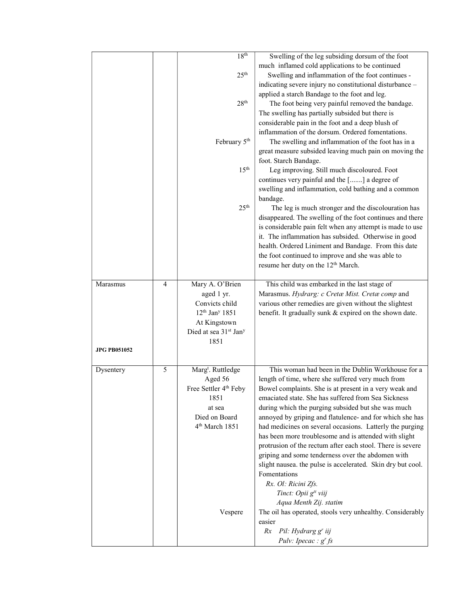|                     |                | 18 <sup>th</sup>                  | Swelling of the leg subsiding dorsum of the foot            |
|---------------------|----------------|-----------------------------------|-------------------------------------------------------------|
|                     |                |                                   | much inflamed cold applications to be continued             |
|                     |                | 25 <sup>th</sup>                  | Swelling and inflammation of the foot continues -           |
|                     |                |                                   | indicating severe injury no constitutional disturbance -    |
|                     |                |                                   | applied a starch Bandage to the foot and leg.               |
|                     |                | 28 <sup>th</sup>                  | The foot being very painful removed the bandage.            |
|                     |                |                                   | The swelling has partially subsided but there is            |
|                     |                |                                   | considerable pain in the foot and a deep blush of           |
|                     |                |                                   | inflammation of the dorsum. Ordered fomentations.           |
|                     |                | February 5 <sup>th</sup>          | The swelling and inflammation of the foot has in a          |
|                     |                |                                   | great measure subsided leaving much pain on moving the      |
|                     |                |                                   | foot. Starch Bandage.                                       |
|                     |                | 15 <sup>th</sup>                  | Leg improving. Still much discoloured. Foot                 |
|                     |                |                                   | continues very painful and the [] a degree of               |
|                     |                |                                   | swelling and inflammation, cold bathing and a common        |
|                     |                |                                   | bandage.                                                    |
|                     |                | 25 <sup>th</sup>                  | The leg is much stronger and the discolouration has         |
|                     |                |                                   | disappeared. The swelling of the foot continues and there   |
|                     |                |                                   | is considerable pain felt when any attempt is made to use   |
|                     |                |                                   | it. The inflammation has subsided. Otherwise in good        |
|                     |                |                                   | health. Ordered Liniment and Bandage. From this date        |
|                     |                |                                   | the foot continued to improve and she was able to           |
|                     |                |                                   | resume her duty on the 12 <sup>th</sup> March.              |
|                     |                |                                   |                                                             |
| Marasmus            | $\overline{4}$ | Mary A. O'Brien                   | This child was embarked in the last stage of                |
|                     |                | aged 1 yr.                        | Marasmus. Hydrarg: c Cretæ Mist. Cretæ comp and             |
|                     |                | Convicts child                    | various other remedies are given without the slightest      |
|                     |                | $12^{th}$ Jan <sup>y</sup> 1851   | benefit. It gradually sunk & expired on the shown date.     |
|                     |                | At Kingstown                      |                                                             |
|                     |                | Died at sea 31st Jan <sup>y</sup> |                                                             |
|                     |                | 1851                              |                                                             |
| <b>JPG PB051052</b> |                |                                   |                                                             |
|                     |                |                                   |                                                             |
| Dysentery           | 5              | Marg <sup>t</sup> . Ruttledge     | This woman had been in the Dublin Workhouse for a           |
|                     |                | Aged 56                           | length of time, where she suffered very much from           |
|                     |                | Free Settler 4 <sup>th</sup> Feby | Bowel complaints. She is at present in a very weak and      |
|                     |                | 1851                              | emaciated state. She has suffered from Sea Sickness         |
|                     |                | at sea                            | during which the purging subsided but she was much          |
|                     |                | Died on Board                     | annoyed by griping and flatulence- and for which she has    |
|                     |                | 4 <sup>th</sup> March 1851        | had medicines on several occasions. Latterly the purging    |
|                     |                |                                   | has been more troublesome and is attended with slight       |
|                     |                |                                   | protrusion of the rectum after each stool. There is severe  |
|                     |                |                                   | griping and some tenderness over the abdomen with           |
|                     |                |                                   | slight nausea. the pulse is accelerated. Skin dry but cool. |
|                     |                |                                   | Fomentations                                                |
|                     |                |                                   | Rx. Ol: Ricini Zfs.                                         |
|                     |                |                                   | Tinct: Opii g <sup>tt</sup> viij                            |
|                     |                |                                   | Aqua Menth Zij. statim                                      |
|                     |                |                                   |                                                             |
|                     |                | Vespere                           | The oil has operated, stools very unhealthy. Considerably   |
|                     |                |                                   | easier                                                      |
|                     |                |                                   | Rx Pil: Hydrarg g' iij                                      |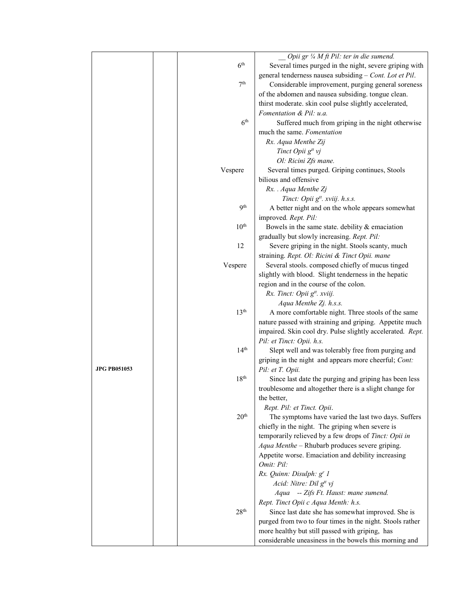|                     |                  | Opii gr 1/4 M ft Pil: ter in die sumend.                         |
|---------------------|------------------|------------------------------------------------------------------|
|                     | 6 <sup>th</sup>  | Several times purged in the night, severe griping with           |
|                     |                  | general tenderness nausea subsiding - Cont. Lot et Pil.          |
|                     | 7 <sup>th</sup>  | Considerable improvement, purging general soreness               |
|                     |                  | of the abdomen and nausea subsiding. tongue clean.               |
|                     |                  | thirst moderate. skin cool pulse slightly accelerated,           |
|                     |                  | Fomentation & Pil: u.a.                                          |
|                     | 6 <sup>th</sup>  | Suffered much from griping in the night otherwise                |
|                     |                  | much the same. Fomentation                                       |
|                     |                  | Rx. Aqua Menthe Zij                                              |
|                     |                  | Tinct Opii g <sup>tt</sup> vj                                    |
|                     |                  | Ol: Ricini Zfs mane.                                             |
|                     | Vespere          | Several times purged. Griping continues, Stools                  |
|                     |                  | bilious and offensive                                            |
|                     |                  | Rx. . Aqua Menthe Zj                                             |
|                     |                  | Tinct: Opii g <sup>tt</sup> . xviij. h.s.s.                      |
|                     | <b>9th</b>       | A better night and on the whole appears somewhat                 |
|                     |                  | improved. Rept. Pil:                                             |
|                     | 10 <sup>th</sup> | Bowels in the same state. debility $&$ emaciation                |
|                     |                  | gradually but slowly increasing. Rept. Pil:                      |
|                     | 12               | Severe griping in the night. Stools scanty, much                 |
|                     |                  | straining. Rept. Ol: Ricini & Tinct Opii. mane                   |
|                     | Vespere          | Several stools. composed chiefly of mucus tinged                 |
|                     |                  | slightly with blood. Slight tenderness in the hepatic            |
|                     |                  | region and in the course of the colon.                           |
|                     |                  | Rx. Tinct: Opii g <sup>tt</sup> . xviij.                         |
|                     |                  | Aqua Menthe Zj. h.s.s.                                           |
|                     | 13 <sup>th</sup> | A more comfortable night. Three stools of the same               |
|                     |                  | nature passed with straining and griping. Appetite much          |
|                     |                  | impaired. Skin cool dry. Pulse slightly accelerated. Rept.       |
|                     |                  | Pil: et Tinct: Opii. h.s.                                        |
|                     | 14 <sup>th</sup> | Slept well and was tolerably free from purging and               |
|                     |                  | griping in the night and appears more cheerful; Cont:            |
| <b>JPG PB051053</b> |                  | Pil: et T. Opii.                                                 |
|                     | 18 <sup>th</sup> | Since last date the purging and griping has been less            |
|                     |                  | troublesome and altogether there is a slight change for          |
|                     |                  | the better,                                                      |
|                     | 20 <sup>th</sup> | Rept. Pil: et Tinct. Opii.                                       |
|                     |                  | The symptoms have varied the last two days. Suffers              |
|                     |                  | chiefly in the night. The griping when severe is                 |
|                     |                  | temporarily relieved by a few drops of Tinct: Opii in            |
|                     |                  | Aqua Menthe - Rhubarb produces severe griping.                   |
|                     |                  | Appetite worse. Emaciation and debility increasing<br>Omit: Pil: |
|                     |                  |                                                                  |
|                     |                  | Rx. Quinn: Disulph: g' 1<br>Acid: Nitre: Dil g <sup>tt</sup> vj  |
|                     |                  | Aqua -- Zifs Ft. Haust: mane sumend.                             |
|                     |                  | Rept. Tinct Opii c Aqua Menth: h.s.                              |
|                     | 28 <sup>th</sup> | Since last date she has somewhat improved. She is                |
|                     |                  | purged from two to four times in the night. Stools rather        |
|                     |                  | more healthy but still passed with griping, has                  |
|                     |                  | considerable uneasiness in the bowels this morning and           |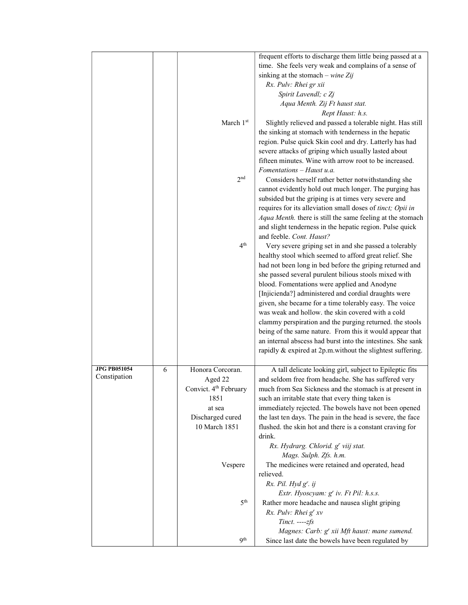|                                     |   |                                   | frequent efforts to discharge them little being passed at a      |
|-------------------------------------|---|-----------------------------------|------------------------------------------------------------------|
|                                     |   |                                   | time. She feels very weak and complains of a sense of            |
|                                     |   |                                   | sinking at the stomach – wine Zij                                |
|                                     |   |                                   | Rx. Pulv: Rhei gr xii                                            |
|                                     |   |                                   | Spirit Lavendl; c Zj                                             |
|                                     |   |                                   | Aqua Menth. Zij Ft haust stat.                                   |
|                                     |   |                                   | Rept Haust: h.s.                                                 |
|                                     |   | March 1st                         | Slightly relieved and passed a tolerable night. Has still        |
|                                     |   |                                   | the sinking at stomach with tenderness in the hepatic            |
|                                     |   |                                   | region. Pulse quick Skin cool and dry. Latterly has had          |
|                                     |   |                                   | severe attacks of griping which usually lasted about             |
|                                     |   |                                   | fifteen minutes. Wine with arrow root to be increased.           |
|                                     |   |                                   | $F$ omentations – Haust u.a.                                     |
|                                     |   | 2 <sub>nd</sub>                   | Considers herself rather better notwithstanding she              |
|                                     |   |                                   | cannot evidently hold out much longer. The purging has           |
|                                     |   |                                   | subsided but the griping is at times very severe and             |
|                                     |   |                                   | requires for its alleviation small doses of tinct; Opii in       |
|                                     |   |                                   | Aqua Menth. there is still the same feeling at the stomach       |
|                                     |   |                                   | and slight tenderness in the hepatic region. Pulse quick         |
|                                     |   |                                   | and feeble. Cont. Haust?                                         |
|                                     |   | 4 <sup>th</sup>                   | Very severe griping set in and she passed a tolerably            |
|                                     |   |                                   | healthy stool which seemed to afford great relief. She           |
|                                     |   |                                   | had not been long in bed before the griping returned and         |
|                                     |   |                                   | she passed several purulent bilious stools mixed with            |
|                                     |   |                                   | blood. Fomentations were applied and Anodyne                     |
|                                     |   |                                   | [Injicienda?] administered and cordial draughts were             |
|                                     |   |                                   | given, she became for a time tolerably easy. The voice           |
|                                     |   |                                   | was weak and hollow. the skin covered with a cold                |
|                                     |   |                                   | clammy perspiration and the purging returned. the stools         |
|                                     |   |                                   | being of the same nature. From this it would appear that         |
|                                     |   |                                   | an internal abscess had burst into the intestines. She sank      |
|                                     |   |                                   | rapidly & expired at 2p.m.without the slightest suffering.       |
|                                     |   |                                   |                                                                  |
| <b>JPG PB051054</b><br>Constipation | 6 | Honora Corcoran.                  | A tall delicate looking girl, subject to Epileptic fits          |
|                                     |   | Aged 22                           | and seldom free from headache. She has suffered very             |
|                                     |   | Convict. 4 <sup>th</sup> February | much from Sea Sickness and the stomach is at present in          |
|                                     |   | 1851                              | such an irritable state that every thing taken is                |
|                                     |   | at sea                            | immediately rejected. The bowels have not been opened            |
|                                     |   | Discharged cured                  | the last ten days. The pain in the head is severe, the face      |
|                                     |   | 10 March 1851                     | flushed. the skin hot and there is a constant craving for        |
|                                     |   |                                   | drink.                                                           |
|                                     |   |                                   | Rx. Hydrarg. Chlorid. g' viij stat.                              |
|                                     |   |                                   | Mags. Sulph. Zfs. h.m.                                           |
|                                     |   | Vespere                           | The medicines were retained and operated, head                   |
|                                     |   |                                   | relieved.<br>$Rx.$ Pil. Hyd $g'$ . ij                            |
|                                     |   |                                   | Extr. Hyoscyam: g' iv. Ft Pil: h.s.s.                            |
|                                     |   | 5 <sup>th</sup>                   | Rather more headache and nausea slight griping                   |
|                                     |   |                                   | Rx. Pulv: Rhei g' xv                                             |
|                                     |   |                                   |                                                                  |
|                                     |   |                                   |                                                                  |
|                                     |   |                                   | $Tinct. --- zfs$<br>Magnes: Carb: g' xii Mft haust: mane sumend. |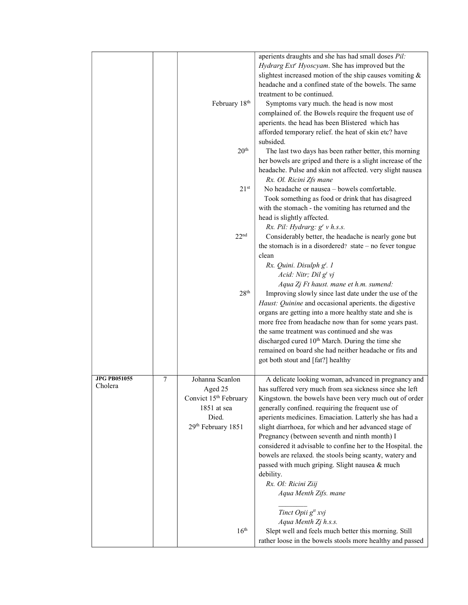|                                |   | February 18th                                                                                                 | aperients draughts and she has had small doses Pil:<br>Hydrarg Ext' Hyoscyam. She has improved but the<br>slightest increased motion of the ship causes vomiting &<br>headache and a confined state of the bowels. The same<br>treatment to be continued.<br>Symptoms vary much. the head is now most<br>complained of. the Bowels require the frequent use of<br>aperients. the head has been Blistered which has<br>afforded temporary relief. the heat of skin etc? have                                                                                                                                                                 |
|--------------------------------|---|---------------------------------------------------------------------------------------------------------------|---------------------------------------------------------------------------------------------------------------------------------------------------------------------------------------------------------------------------------------------------------------------------------------------------------------------------------------------------------------------------------------------------------------------------------------------------------------------------------------------------------------------------------------------------------------------------------------------------------------------------------------------|
|                                |   | 20 <sup>th</sup>                                                                                              | subsided.<br>The last two days has been rather better, this morning<br>her bowels are griped and there is a slight increase of the                                                                                                                                                                                                                                                                                                                                                                                                                                                                                                          |
|                                |   | 21 <sup>st</sup>                                                                                              | headache. Pulse and skin not affected. very slight nausea<br>Rx. Ol. Ricini Zfs mane<br>No headache or nausea - bowels comfortable.<br>Took something as food or drink that has disagreed                                                                                                                                                                                                                                                                                                                                                                                                                                                   |
|                                |   | 22 <sup>nd</sup>                                                                                              | with the stomach - the vomiting has returned and the<br>head is slightly affected.<br>Rx. Pil: Hydrarg: $g'$ v h.s.s.<br>Considerably better, the headache is nearly gone but                                                                                                                                                                                                                                                                                                                                                                                                                                                               |
|                                |   |                                                                                                               | the stomach is in a disordered? state $-$ no fever tongue<br>clean<br>Rx. Quini. Disulph g <sup>t</sup> . 1<br>Acid: Nitr; Dil g <sup>t</sup> vj                                                                                                                                                                                                                                                                                                                                                                                                                                                                                            |
|                                |   | 28 <sup>th</sup>                                                                                              | Aqua Zj Ft haust. mane et h.m. sumend:<br>Improving slowly since last date under the use of the<br>Haust: Quinine and occasional aperients. the digestive<br>organs are getting into a more healthy state and she is<br>more free from headache now than for some years past.<br>the same treatment was continued and she was<br>discharged cured 10 <sup>th</sup> March. During the time she<br>remained on board she had neither headache or fits and<br>got both stout and [fat?] healthy                                                                                                                                                |
| <b>JPG PB051055</b><br>Cholera | 7 | Johanna Scanlon<br>Aged 25<br>Convict 15 <sup>th</sup> February<br>1851 at sea<br>Died.<br>29th February 1851 | A delicate looking woman, advanced in pregnancy and<br>has suffered very much from sea sickness since she left<br>Kingstown. the bowels have been very much out of order<br>generally confined. requiring the frequent use of<br>aperients medicines. Emaciation. Latterly she has had a<br>slight diarrhoea, for which and her advanced stage of<br>Pregnancy (between seventh and ninth month) I<br>considered it advisable to confine her to the Hospital. the<br>bowels are relaxed. the stools being scanty, watery and<br>passed with much griping. Slight nausea & much<br>debility.<br>Rx. Ol: Ricini Ziij<br>Aqua Menth Zifs. mane |
|                                |   | 16 <sup>th</sup>                                                                                              | Tinct Opii g <sup>tt</sup> xvj<br>Aqua Menth Zj h.s.s.<br>Slept well and feels much better this morning. Still<br>rather loose in the bowels stools more healthy and passed                                                                                                                                                                                                                                                                                                                                                                                                                                                                 |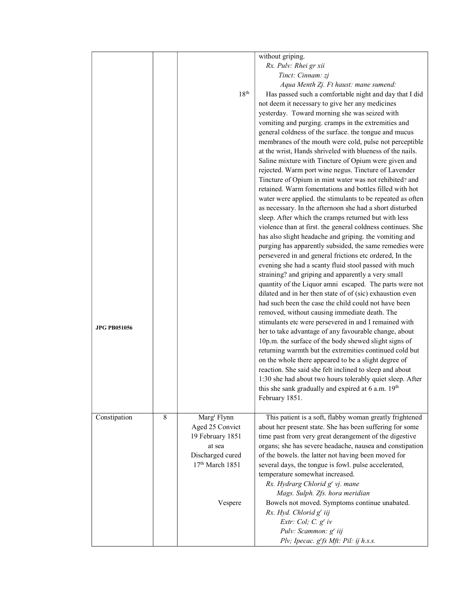|                     |   |                         | without griping.                                            |
|---------------------|---|-------------------------|-------------------------------------------------------------|
|                     |   |                         | Rx. Pulv: Rhei gr xii                                       |
|                     |   |                         | Tinct: Cinnam: zj                                           |
|                     |   |                         | Aqua Menth Zj. Ft haust: mane sumend:                       |
|                     |   | 18 <sup>th</sup>        | Has passed such a comfortable night and day that I did      |
|                     |   |                         |                                                             |
|                     |   |                         | not deem it necessary to give her any medicines             |
|                     |   |                         | yesterday. Toward morning she was seized with               |
|                     |   |                         | vomiting and purging. cramps in the extremities and         |
|                     |   |                         | general coldness of the surface. the tongue and mucus       |
|                     |   |                         | membranes of the mouth were cold, pulse not perceptible     |
|                     |   |                         | at the wrist, Hands shriveled with blueness of the nails.   |
|                     |   |                         | Saline mixture with Tincture of Opium were given and        |
|                     |   |                         | rejected. Warm port wine negus. Tincture of Lavender        |
|                     |   |                         | Tincture of Opium in mint water was not rehibited? and      |
|                     |   |                         | retained. Warm fomentations and bottles filled with hot     |
|                     |   |                         | water were applied. the stimulants to be repeated as often  |
|                     |   |                         | as necessary. In the afternoon she had a short disturbed    |
|                     |   |                         | sleep. After which the cramps returned but with less        |
|                     |   |                         | violence than at first. the general coldness continues. She |
|                     |   |                         | has also slight headache and griping. the vomiting and      |
|                     |   |                         |                                                             |
|                     |   |                         | purging has apparently subsided, the same remedies were     |
|                     |   |                         | persevered in and general frictions etc ordered, In the     |
|                     |   |                         | evening she had a scanty fluid stool passed with much       |
|                     |   |                         | straining? and griping and apparently a very small          |
|                     |   |                         | quantity of the Liquor amni escaped. The parts were not     |
|                     |   |                         | dilated and in her then state of of (sic) exhaustion even   |
|                     |   |                         | had such been the case the child could not have been        |
|                     |   |                         | removed, without causing immediate death. The               |
|                     |   |                         | stimulants etc were persevered in and I remained with       |
| <b>JPG PB051056</b> |   |                         | her to take advantage of any favourable change, about       |
|                     |   |                         | 10p.m. the surface of the body shewed slight signs of       |
|                     |   |                         | returning warmth but the extremities continued cold but     |
|                     |   |                         |                                                             |
|                     |   |                         | on the whole there appeared to be a slight degree of        |
|                     |   |                         | reaction. She said she felt inclined to sleep and about     |
|                     |   |                         | 1:30 she had about two hours tolerably quiet sleep. After   |
|                     |   |                         | this she sank gradually and expired at 6 a.m. 19th          |
|                     |   |                         | February 1851.                                              |
|                     |   |                         |                                                             |
| Constipation        | 8 | Marg <sup>t</sup> Flynn | This patient is a soft, flabby woman greatly frightened     |
|                     |   | Aged 25 Convict         | about her present state. She has been suffering for some    |
|                     |   | 19 February 1851        | time past from very great derangement of the digestive      |
|                     |   | at sea                  | organs; she has severe headache, nausea and constipation    |
|                     |   | Discharged cured        | of the bowels. the latter not having been moved for         |
|                     |   | $17th$ March 1851       | several days, the tongue is fowl. pulse accelerated,        |
|                     |   |                         | temperature somewhat increased.                             |
|                     |   |                         | Rx. Hydrarg Chlorid g' vj. mane                             |
|                     |   |                         | Mags. Sulph. Zfs. hora meridian                             |
|                     |   | Vespere                 | Bowels not moved. Symptoms continue unabated.               |
|                     |   |                         | Rx. Hyd. Chlorid g' iij                                     |
|                     |   |                         | Extr: Col; $C. gr$ iv                                       |
|                     |   |                         | Pulv: Scammon: g' iij                                       |
|                     |   |                         |                                                             |
|                     |   |                         | Plv; Ipecac. g'fs Mft: Pil: ij h.s.s.                       |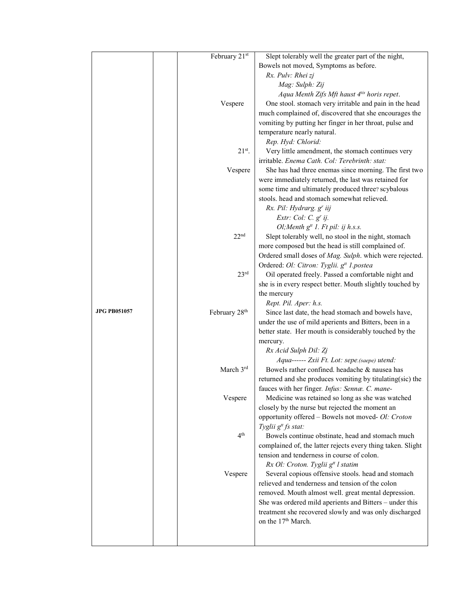|                     | February 21st             | Slept tolerably well the greater part of the night,                                                  |
|---------------------|---------------------------|------------------------------------------------------------------------------------------------------|
|                     |                           | Bowels not moved, Symptoms as before.                                                                |
|                     |                           | Rx. Pulv: Rhei zj                                                                                    |
|                     |                           | Mag: Sulph: Zij                                                                                      |
|                     |                           | Aqua Menth Zifs Mft haust 4 <sup>tis</sup> horis repet.                                              |
|                     | Vespere                   | One stool. stomach very irritable and pain in the head                                               |
|                     |                           | much complained of, discovered that she encourages the                                               |
|                     |                           | vomiting by putting her finger in her throat, pulse and                                              |
|                     |                           | temperature nearly natural.                                                                          |
|                     |                           | Rep. Hyd: Chlorid:                                                                                   |
|                     | $21^{st}$ .               | Very little amendment, the stomach continues very                                                    |
|                     |                           | irritable. Enema Cath. Col: Terebrinth: stat:                                                        |
|                     | Vespere                   | She has had three enemas since morning. The first two                                                |
|                     |                           | were immediately returned, the last was retained for                                                 |
|                     |                           | some time and ultimately produced three? scybalous                                                   |
|                     |                           | stools. head and stomach somewhat relieved.                                                          |
|                     |                           | Rx. Pil: Hydrarg. g' iij                                                                             |
|                     |                           | Extr: Col: C. $g'$ ij.                                                                               |
|                     |                           | Ol; Menth $g^{tt}$ 1. Ft pil: ij h.s.s.                                                              |
|                     | 22 <sup>nd</sup>          | Slept tolerably well, no stool in the night, stomach                                                 |
|                     |                           | more composed but the head is still complained of.                                                   |
|                     |                           | Ordered small doses of Mag. Sulph. which were rejected.                                              |
|                     |                           | Ordered: Ol: Citron: Tyglii. g <sup>tt</sup> 1.postea                                                |
|                     | 23 <sup>rd</sup>          | Oil operated freely. Passed a comfortable night and                                                  |
|                     |                           | she is in every respect better. Mouth slightly touched by                                            |
|                     |                           | the mercury                                                                                          |
|                     |                           | Rept. Pil. Aper: h.s.                                                                                |
| <b>JPG PB051057</b> | February 28 <sup>th</sup> | Since last date, the head stomach and bowels have,                                                   |
|                     |                           | under the use of mild aperients and Bitters, been in a                                               |
|                     |                           | better state. Her mouth is considerably touched by the                                               |
|                     |                           | mercury.                                                                                             |
|                     |                           | Rx Acid Sulph Dil: Zj                                                                                |
|                     |                           | Aqua------ Zxii Ft. Lot: sepe.(saepe) utend:                                                         |
|                     | March 3rd                 | Bowels rather confined. headache & nausea has                                                        |
|                     |                           | returned and she produces vomiting by titulating(sic) the                                            |
|                     |                           | fauces with her finger. Infus: Sennæ. C. mane-                                                       |
|                     | Vespere                   | Medicine was retained so long as she was watched                                                     |
|                     |                           | closely by the nurse but rejected the moment an                                                      |
|                     |                           | opportunity offered - Bowels not moved- Ol: Croton                                                   |
|                     | 4 <sup>th</sup>           | Tyglii g <sup>tt</sup> fs stat:                                                                      |
|                     |                           | Bowels continue obstinate, head and stomach much                                                     |
|                     |                           | complained of, the latter rejects every thing taken. Slight                                          |
|                     |                           | tension and tenderness in course of colon.                                                           |
|                     |                           | Rx Ol: Croton. Tyglii g <sup>tt</sup> l statim<br>Several copious offensive stools. head and stomach |
|                     | Vespere                   | relieved and tenderness and tension of the colon                                                     |
|                     |                           | removed. Mouth almost well. great mental depression.                                                 |
|                     |                           | She was ordered mild aperients and Bitters - under this                                              |
|                     |                           | treatment she recovered slowly and was only discharged                                               |
|                     |                           | on the 17 <sup>th</sup> March.                                                                       |
|                     |                           |                                                                                                      |
|                     |                           |                                                                                                      |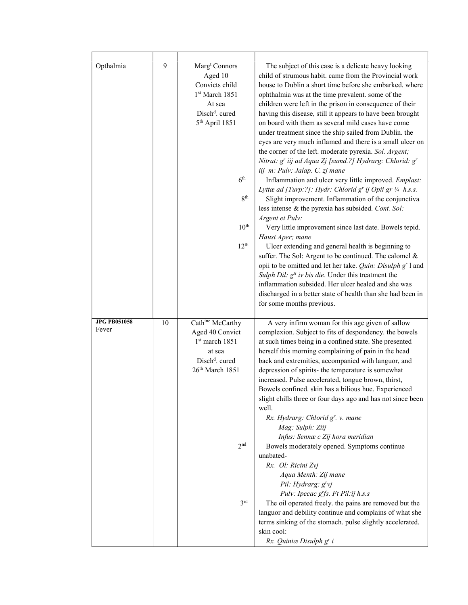| Opthalmia                    | 9  | Marg <sup>t</sup> Connors<br>Aged 10<br>Convicts child<br>1 <sup>st</sup> March 1851<br>At sea<br>Disch <sup>d</sup> . cured<br>$5th$ April 1851<br>6 <sup>th</sup><br>8 <sup>th</sup><br>10 <sup>th</sup><br>12 <sup>th</sup> | The subject of this case is a delicate heavy looking<br>child of strumous habit. came from the Provincial work<br>house to Dublin a short time before she embarked. where<br>ophthalmia was at the time prevalent. some of the<br>children were left in the prison in consequence of their<br>having this disease, still it appears to have been brought<br>on board with them as several mild cases have come<br>under treatment since the ship sailed from Dublin. the<br>eyes are very much inflamed and there is a small ulcer on<br>the corner of the left. moderate pyrexia. Sol. Argent;<br>Nitrat: g' iij ad Aqua Zj [sumd.?] Hydrarg: Chlorid: g'<br>iij m: Pulv: Jalap. C. zj mane<br>Inflammation and ulcer very little improved. Emplast:<br>Lyttæ ad [Turp:?]: Hydr: Chlorid g' ij Opii gr 1/4 h.s.s.<br>Slight improvement. Inflammation of the conjunctiva<br>less intense & the pyrexia has subsided. Cont. Sol:<br>Argent et Pulv:<br>Very little improvement since last date. Bowels tepid.<br>Haust Aper; mane<br>Ulcer extending and general health is beginning to<br>suffer. The Sol: Argent to be continued. The calomel &<br>opii to be omitted and let her take. Quin: Disulph g' l and<br>Sulph Dil: $gtt$ iv bis die. Under this treatment the<br>inflammation subsided. Her ulcer healed and she was<br>discharged in a better state of health than she had been in<br>for some months previous. |
|------------------------------|----|--------------------------------------------------------------------------------------------------------------------------------------------------------------------------------------------------------------------------------|------------------------------------------------------------------------------------------------------------------------------------------------------------------------------------------------------------------------------------------------------------------------------------------------------------------------------------------------------------------------------------------------------------------------------------------------------------------------------------------------------------------------------------------------------------------------------------------------------------------------------------------------------------------------------------------------------------------------------------------------------------------------------------------------------------------------------------------------------------------------------------------------------------------------------------------------------------------------------------------------------------------------------------------------------------------------------------------------------------------------------------------------------------------------------------------------------------------------------------------------------------------------------------------------------------------------------------------------------------------------------------------------------------------------------|
| <b>JPG PB051058</b><br>Fever | 10 | Cathine McCarthy<br>Aged 40 Convict<br>1st march 1851<br>at sea<br>Disch <sup>d</sup> . cured<br>26th March 1851<br>2 <sub>nd</sub><br>3 <sup>rd</sup>                                                                         | A very infirm woman for this age given of sallow<br>complexion. Subject to fits of despondency. the bowels<br>at such times being in a confined state. She presented<br>herself this morning complaining of pain in the head<br>back and extremities, accompanied with languor, and<br>depression of spirits- the temperature is somewhat<br>increased. Pulse accelerated, tongue brown, thirst,<br>Bowels confined. skin has a bilious hue. Experienced<br>slight chills three or four days ago and has not since been<br>well.<br>Rx. Hydrarg: Chlorid g'. v. mane<br>Mag: Sulph: Ziij<br>Infus: Sennæ c Zij hora meridian<br>Bowels moderately opened. Symptoms continue<br>unabated-<br>Rx. Ol: Ricini Zvj<br>Aqua Menth: Zij mane<br>Pil: Hydrarg; g'vj<br>Pulv: Ipecac g'fs. Ft Pil:ij h.s.s<br>The oil operated freely. the pains are removed but the<br>languor and debility continue and complains of what she<br>terms sinking of the stomach. pulse slightly accelerated.<br>skin cool:<br>Rx. Quiniæ Disulph g' i                                                                                                                                                                                                                                                                                                                                                                                                |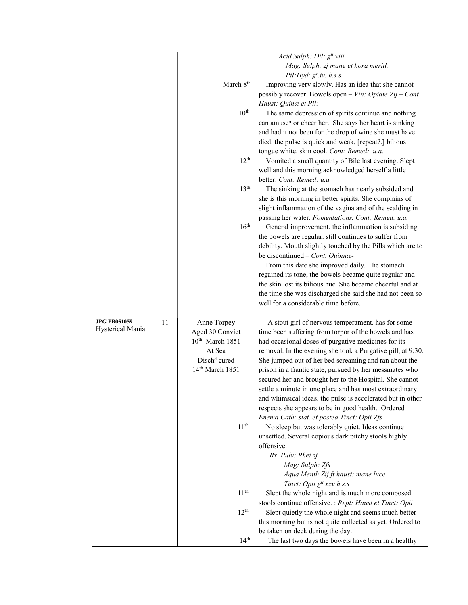|                     |    |                                      | Acid Sulph: Dil: g <sup>tt</sup> viii                                                                                |
|---------------------|----|--------------------------------------|----------------------------------------------------------------------------------------------------------------------|
|                     |    |                                      | Mag: Sulph: zj mane et hora merid.                                                                                   |
|                     |    |                                      | Pil:Hyd: g <sup>r</sup> .iv. h.s.s.                                                                                  |
|                     |    | March 8 <sup>th</sup>                | Improving very slowly. Has an idea that she cannot                                                                   |
|                     |    |                                      | possibly recover. Bowels open - Vin: Opiate Zij - Cont.                                                              |
|                     |    |                                      | Haust: Quinæ et Pil:                                                                                                 |
|                     |    | 10 <sup>th</sup>                     | The same depression of spirits continue and nothing                                                                  |
|                     |    |                                      | can amuse? or cheer her. She says her heart is sinking                                                               |
|                     |    |                                      | and had it not been for the drop of wine she must have                                                               |
|                     |    |                                      | died. the pulse is quick and weak, [repeat?.] bilious                                                                |
|                     |    |                                      | tongue white. skin cool. Cont: Remed: u.a.                                                                           |
|                     |    | 12 <sup>th</sup>                     | Vomited a small quantity of Bile last evening. Slept                                                                 |
|                     |    |                                      | well and this morning acknowledged herself a little                                                                  |
|                     |    |                                      | better. Cont: Remed: u.a.                                                                                            |
|                     |    | 13 <sup>th</sup>                     | The sinking at the stomach has nearly subsided and                                                                   |
|                     |    |                                      |                                                                                                                      |
|                     |    |                                      | she is this morning in better spirits. She complains of<br>slight inflammation of the vagina and of the scalding in  |
|                     |    |                                      | passing her water. Fomentations. Cont: Remed: u.a.                                                                   |
|                     |    | 16 <sup>th</sup>                     | General improvement. the inflammation is subsiding.                                                                  |
|                     |    |                                      | the bowels are regular. still continues to suffer from                                                               |
|                     |    |                                      | debility. Mouth slightly touched by the Pills which are to                                                           |
|                     |    |                                      | be discontinued - Cont. Quinnæ-                                                                                      |
|                     |    |                                      | From this date she improved daily. The stomach                                                                       |
|                     |    |                                      | regained its tone, the bowels became quite regular and                                                               |
|                     |    |                                      | the skin lost its bilious hue. She became cheerful and at                                                            |
|                     |    |                                      | the time she was discharged she said she had not been so                                                             |
|                     |    |                                      |                                                                                                                      |
|                     |    |                                      |                                                                                                                      |
|                     |    |                                      | well for a considerable time before.                                                                                 |
| <b>JPG PB051059</b> | 11 |                                      |                                                                                                                      |
| Hysterical Mania    |    | Anne Torpey                          | A stout girl of nervous temperament. has for some                                                                    |
|                     |    | Aged 30 Convict<br>$10th$ March 1851 | time been suffering from torpor of the bowels and has                                                                |
|                     |    | At Sea                               | had occasional doses of purgative medicines for its                                                                  |
|                     |    | Disch <sup>d</sup> cured             | removal. In the evening she took a Purgative pill, at 9;30.<br>She jumped out of her bed screaming and ran about the |
|                     |    | 14 <sup>th</sup> March 1851          |                                                                                                                      |
|                     |    |                                      | prison in a frantic state, pursued by her messmates who<br>secured her and brought her to the Hospital. She cannot   |
|                     |    |                                      | settle a minute in one place and has most extraordinary                                                              |
|                     |    |                                      | and whimsical ideas. the pulse is accelerated but in other                                                           |
|                     |    |                                      | respects she appears to be in good health. Ordered                                                                   |
|                     |    |                                      | Enema Cath: stat. et postea Tinct: Opii Zfs                                                                          |
|                     |    | 11 <sup>th</sup>                     | No sleep but was tolerably quiet. Ideas continue                                                                     |
|                     |    |                                      | unsettled. Several copious dark pitchy stools highly                                                                 |
|                     |    |                                      | offensive.                                                                                                           |
|                     |    |                                      | Rx. Pulv: Rhei <i>aj</i>                                                                                             |
|                     |    |                                      | Mag: Sulph: Zfs                                                                                                      |
|                     |    |                                      | Aqua Menth Zij ft haust: mane luce                                                                                   |
|                     |    |                                      | Tinct: Opii g <sup>tt</sup> xxv h.s.s                                                                                |
|                     |    | 11 <sup>th</sup>                     | Slept the whole night and is much more composed.                                                                     |
|                     |    |                                      | stools continue offensive. : Rept: Haust et Tinct: Opii                                                              |
|                     |    | $12^{th}$                            | Slept quietly the whole night and seems much better                                                                  |
|                     |    |                                      | this morning but is not quite collected as yet. Ordered to                                                           |
|                     |    | 14 <sup>th</sup>                     | be taken on deck during the day.<br>The last two days the bowels have been in a healthy                              |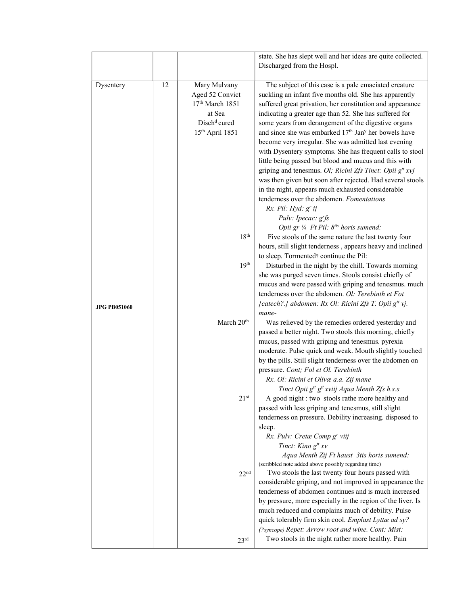|                     |    |                                                                                                                         | state. She has slept well and her ideas are quite collected.                                                                                                                                                                                                                                                                                                                                                                                                                                                                                                                                                                                                                                                                                                                                                                                    |
|---------------------|----|-------------------------------------------------------------------------------------------------------------------------|-------------------------------------------------------------------------------------------------------------------------------------------------------------------------------------------------------------------------------------------------------------------------------------------------------------------------------------------------------------------------------------------------------------------------------------------------------------------------------------------------------------------------------------------------------------------------------------------------------------------------------------------------------------------------------------------------------------------------------------------------------------------------------------------------------------------------------------------------|
|                     |    |                                                                                                                         | Discharged from the Hospl.                                                                                                                                                                                                                                                                                                                                                                                                                                                                                                                                                                                                                                                                                                                                                                                                                      |
| Dysentery           | 12 | Mary Mulvany<br>Aged 52 Convict<br>17th March 1851<br>at Sea<br>Disch <sup>d</sup> cured<br>15 <sup>th</sup> April 1851 | The subject of this case is a pale emaciated creature<br>suckling an infant five months old. She has apparently<br>suffered great privation, her constitution and appearance<br>indicating a greater age than 52. She has suffered for<br>some years from derangement of the digestive organs<br>and since she was embarked 17 <sup>th</sup> Jan <sup>y</sup> her bowels have<br>become very irregular. She was admitted last evening<br>with Dysentery symptoms. She has frequent calls to stool<br>little being passed but blood and mucus and this with<br>griping and tenesmus. Ol; Ricini Zfs Tinct: Opii g <sup>tt</sup> xvj<br>was then given but soon after rejected. Had several stools<br>in the night, appears much exhausted considerable<br>tenderness over the abdomen. Fomentations<br>Rx. Pil: Hyd: g' ij<br>Pulv: Ipecac: g'fs |
|                     |    | 18 <sup>th</sup>                                                                                                        | Opii gr 1/4 Ft Pil: 8tis horis sumend:<br>Five stools of the same nature the last twenty four<br>hours, still slight tenderness, appears heavy and inclined                                                                                                                                                                                                                                                                                                                                                                                                                                                                                                                                                                                                                                                                                     |
|                     |    | 19 <sup>th</sup>                                                                                                        | to sleep. Tormented? continue the Pil:<br>Disturbed in the night by the chill. Towards morning<br>she was purged seven times. Stools consist chiefly of<br>mucus and were passed with griping and tenesmus. much<br>tenderness over the abdomen. Ol: Terebinth et Fot                                                                                                                                                                                                                                                                                                                                                                                                                                                                                                                                                                           |
| <b>JPG PB051060</b> |    |                                                                                                                         | [catech?.] abdomen: Rx Ol: Ricini Zfs T. Opii g <sup>tt</sup> vj.<br>mane-                                                                                                                                                                                                                                                                                                                                                                                                                                                                                                                                                                                                                                                                                                                                                                      |
|                     |    | March 20 <sup>th</sup>                                                                                                  | Was relieved by the remedies ordered yesterday and<br>passed a better night. Two stools this morning, chiefly<br>mucus, passed with griping and tenesmus. pyrexia<br>moderate. Pulse quick and weak. Mouth slightly touched<br>by the pills. Still slight tenderness over the abdomen on<br>pressure. Cont; Fol et Ol. Terebinth<br>Rx. Ol: Ricini et Olivæ a.a. Zij mane<br>Tinct Opii g <sup>tt</sup> g <sup>tt</sup> xviij Aqua Menth Zfs h.s.s                                                                                                                                                                                                                                                                                                                                                                                              |
|                     |    | 21 <sup>st</sup>                                                                                                        | A good night : two stools rathe more healthy and<br>passed with less griping and tenesmus, still slight<br>tenderness on pressure. Debility increasing. disposed to<br>sleep.<br>Rx. Pulv: Cretæ Comp g' viij                                                                                                                                                                                                                                                                                                                                                                                                                                                                                                                                                                                                                                   |
|                     |    | 22 <sup>nd</sup>                                                                                                        | Tinct: Kino g <sup>tt</sup> xv<br>Aqua Menth Zij Ft haust 3tis horis sumend:<br>(scribbled note added above possibly regarding time)<br>Two stools the last twenty four hours passed with<br>considerable griping, and not improved in appearance the<br>tenderness of abdomen continues and is much increased<br>by pressure, more especially in the region of the liver. Is<br>much reduced and complains much of debility. Pulse<br>quick tolerably firm skin cool. Emplast Lyttæ ad sy?<br>(?syncope) Repet: Arrow root and wine. Cont: Mist:                                                                                                                                                                                                                                                                                               |
|                     |    | 23 <sup>rd</sup>                                                                                                        | Two stools in the night rather more healthy. Pain                                                                                                                                                                                                                                                                                                                                                                                                                                                                                                                                                                                                                                                                                                                                                                                               |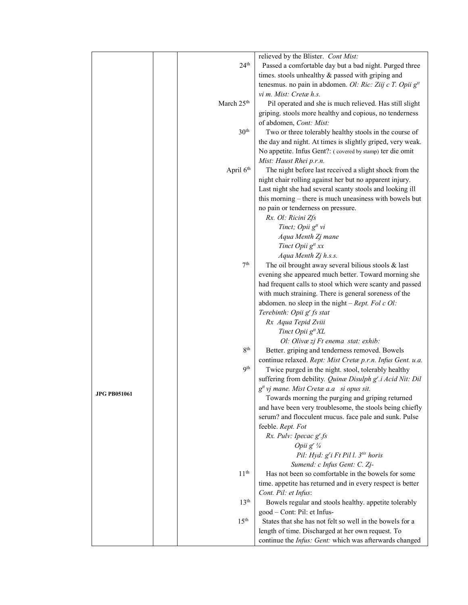| 24 <sup>th</sup><br>Passed a comfortable day but a bad night. Purged three<br>times. stools unhealthy & passed with griping and<br>tenesmus. no pain in abdomen. Ol: Ric: Ziij c T. Opii g <sup>tt</sup><br>vi m. Mist: Cretæ h.s.<br>March 25 <sup>th</sup><br>Pil operated and she is much relieved. Has still slight<br>griping. stools more healthy and copious, no tenderness<br>of abdomen, Cont: Mist:<br>30 <sup>th</sup><br>Two or three tolerably healthy stools in the course of<br>the day and night. At times is slightly griped, very weak.<br>No appetite. Infus Gent?: (covered by stamp) ter die omit<br>Mist: Haust Rhei p.r.n.<br>April 6 <sup>th</sup><br>The night before last received a slight shock from the<br>night chair rolling against her but no apparent injury.<br>Last night she had several scanty stools and looking ill<br>this morning – there is much uneasiness with bowels but<br>no pain or tenderness on pressure.<br>Rx. Ol: Ricini Zfs<br>Tinct; Opii g <sup>tt</sup> vi<br>Aqua Menth Zj mane<br>Tinct Opii g <sup>tt</sup> xx<br>Aqua Menth Zj h.s.s.<br>7 <sup>th</sup><br>The oil brought away several bilious stools $\&$ last<br>evening she appeared much better. Toward morning she<br>had frequent calls to stool which were scanty and passed<br>with much straining. There is general soreness of the<br>abdomen. no sleep in the night $-$ <i>Rept. Fol c Ol</i> :<br>Terebinth: Opii g' fs stat<br>Rx Aqua Tepid Zviii<br>Tinct Opii g <sup>tt</sup> XL<br>Ol: Olivæ zj Ft enema stat: exhib:<br>8 <sup>th</sup><br>Better. griping and tenderness removed. Bowels<br>continue relaxed. Rept: Mist Cretæ p.r.n. Infus Gent. u.a.<br><b>9th</b><br>Twice purged in the night. stool, tolerably healthy<br>suffering from debility. Quinæ Disulph g'.i Acid Nit: Dil |
|-----------------------------------------------------------------------------------------------------------------------------------------------------------------------------------------------------------------------------------------------------------------------------------------------------------------------------------------------------------------------------------------------------------------------------------------------------------------------------------------------------------------------------------------------------------------------------------------------------------------------------------------------------------------------------------------------------------------------------------------------------------------------------------------------------------------------------------------------------------------------------------------------------------------------------------------------------------------------------------------------------------------------------------------------------------------------------------------------------------------------------------------------------------------------------------------------------------------------------------------------------------------------------------------------------------------------------------------------------------------------------------------------------------------------------------------------------------------------------------------------------------------------------------------------------------------------------------------------------------------------------------------------------------------------------------------------------------------------------------------------------------------------------------------------------------------------------|
|                                                                                                                                                                                                                                                                                                                                                                                                                                                                                                                                                                                                                                                                                                                                                                                                                                                                                                                                                                                                                                                                                                                                                                                                                                                                                                                                                                                                                                                                                                                                                                                                                                                                                                                                                                                                                             |
|                                                                                                                                                                                                                                                                                                                                                                                                                                                                                                                                                                                                                                                                                                                                                                                                                                                                                                                                                                                                                                                                                                                                                                                                                                                                                                                                                                                                                                                                                                                                                                                                                                                                                                                                                                                                                             |
|                                                                                                                                                                                                                                                                                                                                                                                                                                                                                                                                                                                                                                                                                                                                                                                                                                                                                                                                                                                                                                                                                                                                                                                                                                                                                                                                                                                                                                                                                                                                                                                                                                                                                                                                                                                                                             |
|                                                                                                                                                                                                                                                                                                                                                                                                                                                                                                                                                                                                                                                                                                                                                                                                                                                                                                                                                                                                                                                                                                                                                                                                                                                                                                                                                                                                                                                                                                                                                                                                                                                                                                                                                                                                                             |
|                                                                                                                                                                                                                                                                                                                                                                                                                                                                                                                                                                                                                                                                                                                                                                                                                                                                                                                                                                                                                                                                                                                                                                                                                                                                                                                                                                                                                                                                                                                                                                                                                                                                                                                                                                                                                             |
|                                                                                                                                                                                                                                                                                                                                                                                                                                                                                                                                                                                                                                                                                                                                                                                                                                                                                                                                                                                                                                                                                                                                                                                                                                                                                                                                                                                                                                                                                                                                                                                                                                                                                                                                                                                                                             |
|                                                                                                                                                                                                                                                                                                                                                                                                                                                                                                                                                                                                                                                                                                                                                                                                                                                                                                                                                                                                                                                                                                                                                                                                                                                                                                                                                                                                                                                                                                                                                                                                                                                                                                                                                                                                                             |
|                                                                                                                                                                                                                                                                                                                                                                                                                                                                                                                                                                                                                                                                                                                                                                                                                                                                                                                                                                                                                                                                                                                                                                                                                                                                                                                                                                                                                                                                                                                                                                                                                                                                                                                                                                                                                             |
|                                                                                                                                                                                                                                                                                                                                                                                                                                                                                                                                                                                                                                                                                                                                                                                                                                                                                                                                                                                                                                                                                                                                                                                                                                                                                                                                                                                                                                                                                                                                                                                                                                                                                                                                                                                                                             |
|                                                                                                                                                                                                                                                                                                                                                                                                                                                                                                                                                                                                                                                                                                                                                                                                                                                                                                                                                                                                                                                                                                                                                                                                                                                                                                                                                                                                                                                                                                                                                                                                                                                                                                                                                                                                                             |
|                                                                                                                                                                                                                                                                                                                                                                                                                                                                                                                                                                                                                                                                                                                                                                                                                                                                                                                                                                                                                                                                                                                                                                                                                                                                                                                                                                                                                                                                                                                                                                                                                                                                                                                                                                                                                             |
|                                                                                                                                                                                                                                                                                                                                                                                                                                                                                                                                                                                                                                                                                                                                                                                                                                                                                                                                                                                                                                                                                                                                                                                                                                                                                                                                                                                                                                                                                                                                                                                                                                                                                                                                                                                                                             |
|                                                                                                                                                                                                                                                                                                                                                                                                                                                                                                                                                                                                                                                                                                                                                                                                                                                                                                                                                                                                                                                                                                                                                                                                                                                                                                                                                                                                                                                                                                                                                                                                                                                                                                                                                                                                                             |
|                                                                                                                                                                                                                                                                                                                                                                                                                                                                                                                                                                                                                                                                                                                                                                                                                                                                                                                                                                                                                                                                                                                                                                                                                                                                                                                                                                                                                                                                                                                                                                                                                                                                                                                                                                                                                             |
|                                                                                                                                                                                                                                                                                                                                                                                                                                                                                                                                                                                                                                                                                                                                                                                                                                                                                                                                                                                                                                                                                                                                                                                                                                                                                                                                                                                                                                                                                                                                                                                                                                                                                                                                                                                                                             |
|                                                                                                                                                                                                                                                                                                                                                                                                                                                                                                                                                                                                                                                                                                                                                                                                                                                                                                                                                                                                                                                                                                                                                                                                                                                                                                                                                                                                                                                                                                                                                                                                                                                                                                                                                                                                                             |
|                                                                                                                                                                                                                                                                                                                                                                                                                                                                                                                                                                                                                                                                                                                                                                                                                                                                                                                                                                                                                                                                                                                                                                                                                                                                                                                                                                                                                                                                                                                                                                                                                                                                                                                                                                                                                             |
|                                                                                                                                                                                                                                                                                                                                                                                                                                                                                                                                                                                                                                                                                                                                                                                                                                                                                                                                                                                                                                                                                                                                                                                                                                                                                                                                                                                                                                                                                                                                                                                                                                                                                                                                                                                                                             |
|                                                                                                                                                                                                                                                                                                                                                                                                                                                                                                                                                                                                                                                                                                                                                                                                                                                                                                                                                                                                                                                                                                                                                                                                                                                                                                                                                                                                                                                                                                                                                                                                                                                                                                                                                                                                                             |
|                                                                                                                                                                                                                                                                                                                                                                                                                                                                                                                                                                                                                                                                                                                                                                                                                                                                                                                                                                                                                                                                                                                                                                                                                                                                                                                                                                                                                                                                                                                                                                                                                                                                                                                                                                                                                             |
|                                                                                                                                                                                                                                                                                                                                                                                                                                                                                                                                                                                                                                                                                                                                                                                                                                                                                                                                                                                                                                                                                                                                                                                                                                                                                                                                                                                                                                                                                                                                                                                                                                                                                                                                                                                                                             |
|                                                                                                                                                                                                                                                                                                                                                                                                                                                                                                                                                                                                                                                                                                                                                                                                                                                                                                                                                                                                                                                                                                                                                                                                                                                                                                                                                                                                                                                                                                                                                                                                                                                                                                                                                                                                                             |
|                                                                                                                                                                                                                                                                                                                                                                                                                                                                                                                                                                                                                                                                                                                                                                                                                                                                                                                                                                                                                                                                                                                                                                                                                                                                                                                                                                                                                                                                                                                                                                                                                                                                                                                                                                                                                             |
|                                                                                                                                                                                                                                                                                                                                                                                                                                                                                                                                                                                                                                                                                                                                                                                                                                                                                                                                                                                                                                                                                                                                                                                                                                                                                                                                                                                                                                                                                                                                                                                                                                                                                                                                                                                                                             |
|                                                                                                                                                                                                                                                                                                                                                                                                                                                                                                                                                                                                                                                                                                                                                                                                                                                                                                                                                                                                                                                                                                                                                                                                                                                                                                                                                                                                                                                                                                                                                                                                                                                                                                                                                                                                                             |
|                                                                                                                                                                                                                                                                                                                                                                                                                                                                                                                                                                                                                                                                                                                                                                                                                                                                                                                                                                                                                                                                                                                                                                                                                                                                                                                                                                                                                                                                                                                                                                                                                                                                                                                                                                                                                             |
|                                                                                                                                                                                                                                                                                                                                                                                                                                                                                                                                                                                                                                                                                                                                                                                                                                                                                                                                                                                                                                                                                                                                                                                                                                                                                                                                                                                                                                                                                                                                                                                                                                                                                                                                                                                                                             |
|                                                                                                                                                                                                                                                                                                                                                                                                                                                                                                                                                                                                                                                                                                                                                                                                                                                                                                                                                                                                                                                                                                                                                                                                                                                                                                                                                                                                                                                                                                                                                                                                                                                                                                                                                                                                                             |
|                                                                                                                                                                                                                                                                                                                                                                                                                                                                                                                                                                                                                                                                                                                                                                                                                                                                                                                                                                                                                                                                                                                                                                                                                                                                                                                                                                                                                                                                                                                                                                                                                                                                                                                                                                                                                             |
|                                                                                                                                                                                                                                                                                                                                                                                                                                                                                                                                                                                                                                                                                                                                                                                                                                                                                                                                                                                                                                                                                                                                                                                                                                                                                                                                                                                                                                                                                                                                                                                                                                                                                                                                                                                                                             |
|                                                                                                                                                                                                                                                                                                                                                                                                                                                                                                                                                                                                                                                                                                                                                                                                                                                                                                                                                                                                                                                                                                                                                                                                                                                                                                                                                                                                                                                                                                                                                                                                                                                                                                                                                                                                                             |
|                                                                                                                                                                                                                                                                                                                                                                                                                                                                                                                                                                                                                                                                                                                                                                                                                                                                                                                                                                                                                                                                                                                                                                                                                                                                                                                                                                                                                                                                                                                                                                                                                                                                                                                                                                                                                             |
|                                                                                                                                                                                                                                                                                                                                                                                                                                                                                                                                                                                                                                                                                                                                                                                                                                                                                                                                                                                                                                                                                                                                                                                                                                                                                                                                                                                                                                                                                                                                                                                                                                                                                                                                                                                                                             |
|                                                                                                                                                                                                                                                                                                                                                                                                                                                                                                                                                                                                                                                                                                                                                                                                                                                                                                                                                                                                                                                                                                                                                                                                                                                                                                                                                                                                                                                                                                                                                                                                                                                                                                                                                                                                                             |
| g <sup>tt</sup> vj mane. Mist Cretæ a.a si opus sit.<br><b>JPG PB051061</b>                                                                                                                                                                                                                                                                                                                                                                                                                                                                                                                                                                                                                                                                                                                                                                                                                                                                                                                                                                                                                                                                                                                                                                                                                                                                                                                                                                                                                                                                                                                                                                                                                                                                                                                                                 |
| Towards morning the purging and griping returned                                                                                                                                                                                                                                                                                                                                                                                                                                                                                                                                                                                                                                                                                                                                                                                                                                                                                                                                                                                                                                                                                                                                                                                                                                                                                                                                                                                                                                                                                                                                                                                                                                                                                                                                                                            |
| and have been very troublesome, the stools being chiefly                                                                                                                                                                                                                                                                                                                                                                                                                                                                                                                                                                                                                                                                                                                                                                                                                                                                                                                                                                                                                                                                                                                                                                                                                                                                                                                                                                                                                                                                                                                                                                                                                                                                                                                                                                    |
| serum? and flocculent mucus. face pale and sunk. Pulse                                                                                                                                                                                                                                                                                                                                                                                                                                                                                                                                                                                                                                                                                                                                                                                                                                                                                                                                                                                                                                                                                                                                                                                                                                                                                                                                                                                                                                                                                                                                                                                                                                                                                                                                                                      |
| feeble. Rept. Fot                                                                                                                                                                                                                                                                                                                                                                                                                                                                                                                                                                                                                                                                                                                                                                                                                                                                                                                                                                                                                                                                                                                                                                                                                                                                                                                                                                                                                                                                                                                                                                                                                                                                                                                                                                                                           |
| Rx. Pulv: Ipecac g <sup>r</sup> .fs                                                                                                                                                                                                                                                                                                                                                                                                                                                                                                                                                                                                                                                                                                                                                                                                                                                                                                                                                                                                                                                                                                                                                                                                                                                                                                                                                                                                                                                                                                                                                                                                                                                                                                                                                                                         |
| Opii g <sup>r</sup> 1/4                                                                                                                                                                                                                                                                                                                                                                                                                                                                                                                                                                                                                                                                                                                                                                                                                                                                                                                                                                                                                                                                                                                                                                                                                                                                                                                                                                                                                                                                                                                                                                                                                                                                                                                                                                                                     |
| Pil: Hyd: g'i Ft Pil l. 3tis horis                                                                                                                                                                                                                                                                                                                                                                                                                                                                                                                                                                                                                                                                                                                                                                                                                                                                                                                                                                                                                                                                                                                                                                                                                                                                                                                                                                                                                                                                                                                                                                                                                                                                                                                                                                                          |
| Sumend: c Infus Gent: C. Zj-<br>11 <sup>th</sup>                                                                                                                                                                                                                                                                                                                                                                                                                                                                                                                                                                                                                                                                                                                                                                                                                                                                                                                                                                                                                                                                                                                                                                                                                                                                                                                                                                                                                                                                                                                                                                                                                                                                                                                                                                            |
| Has not been so comfortable in the bowels for some<br>time. appetite has returned and in every respect is better                                                                                                                                                                                                                                                                                                                                                                                                                                                                                                                                                                                                                                                                                                                                                                                                                                                                                                                                                                                                                                                                                                                                                                                                                                                                                                                                                                                                                                                                                                                                                                                                                                                                                                            |
| Cont. Pil: et Infus:                                                                                                                                                                                                                                                                                                                                                                                                                                                                                                                                                                                                                                                                                                                                                                                                                                                                                                                                                                                                                                                                                                                                                                                                                                                                                                                                                                                                                                                                                                                                                                                                                                                                                                                                                                                                        |
| 13 <sup>th</sup><br>Bowels regular and stools healthy. appetite tolerably                                                                                                                                                                                                                                                                                                                                                                                                                                                                                                                                                                                                                                                                                                                                                                                                                                                                                                                                                                                                                                                                                                                                                                                                                                                                                                                                                                                                                                                                                                                                                                                                                                                                                                                                                   |
| good - Cont: Pil: et Infus-                                                                                                                                                                                                                                                                                                                                                                                                                                                                                                                                                                                                                                                                                                                                                                                                                                                                                                                                                                                                                                                                                                                                                                                                                                                                                                                                                                                                                                                                                                                                                                                                                                                                                                                                                                                                 |
| 15 <sup>th</sup><br>States that she has not felt so well in the bowels for a                                                                                                                                                                                                                                                                                                                                                                                                                                                                                                                                                                                                                                                                                                                                                                                                                                                                                                                                                                                                                                                                                                                                                                                                                                                                                                                                                                                                                                                                                                                                                                                                                                                                                                                                                |
| length of time. Discharged at her own request. To                                                                                                                                                                                                                                                                                                                                                                                                                                                                                                                                                                                                                                                                                                                                                                                                                                                                                                                                                                                                                                                                                                                                                                                                                                                                                                                                                                                                                                                                                                                                                                                                                                                                                                                                                                           |
| continue the Infus: Gent: which was afterwards changed                                                                                                                                                                                                                                                                                                                                                                                                                                                                                                                                                                                                                                                                                                                                                                                                                                                                                                                                                                                                                                                                                                                                                                                                                                                                                                                                                                                                                                                                                                                                                                                                                                                                                                                                                                      |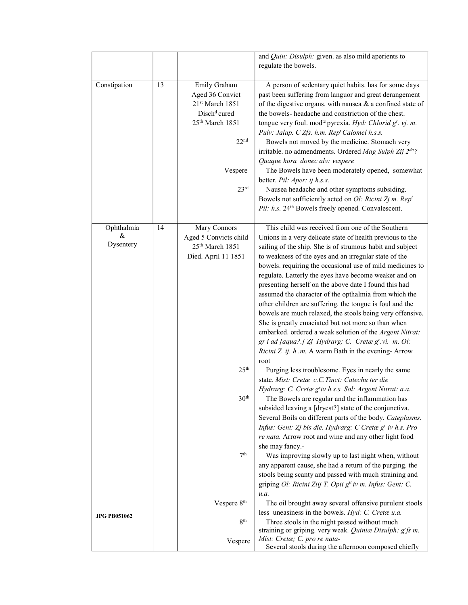|                     |    |                             | and Quin: Disulph: given. as also mild aperients to                                                                             |
|---------------------|----|-----------------------------|---------------------------------------------------------------------------------------------------------------------------------|
|                     |    |                             | regulate the bowels.                                                                                                            |
|                     |    |                             |                                                                                                                                 |
| Constipation        | 13 | Emily Graham                | A person of sedentary quiet habits. has for some days                                                                           |
|                     |    | Aged 36 Convict             | past been suffering from languor and great derangement                                                                          |
|                     |    | 21st March 1851             | of the digestive organs. with nausea $\&$ a confined state of                                                                   |
|                     |    | Disch <sup>d</sup> cured    | the bowels- headache and constriction of the chest.                                                                             |
|                     |    | 25 <sup>th</sup> March 1851 | tongue very foul. mod <sup>te</sup> pyrexia. Hyd: Chlorid g'. vj. m.                                                            |
|                     |    |                             | Pulv: Jalap. C Zfs. h.m. Rep <sup>t</sup> Calomel h.s.s.                                                                        |
|                     |    | 22 <sup>nd</sup>            | Bowels not moved by the medicine. Stomach very                                                                                  |
|                     |    |                             | irritable. no admendments. Ordered Mag Sulph Zij 2 <sup>da?</sup>                                                               |
|                     |    |                             | Quaque hora donec alv: vespere                                                                                                  |
|                     |    | Vespere                     | The Bowels have been moderately opened, somewhat                                                                                |
|                     |    |                             | better. Pil: Aper: ij h.s.s.                                                                                                    |
|                     |    | 23 <sup>rd</sup>            | Nausea headache and other symptoms subsiding.                                                                                   |
|                     |    |                             | Bowels not sufficiently acted on $Ol$ : Ricini Zj m. Rep <sup>t</sup>                                                           |
|                     |    |                             | Pil: h.s. 24 <sup>th</sup> Bowels freely opened. Convalescent.                                                                  |
| Ophthalmia          | 14 | Mary Connors                | This child was received from one of the Southern                                                                                |
| &                   |    | Aged 5 Convicts child       | Unions in a very delicate state of health previous to the                                                                       |
| Dysentery           |    | 25 <sup>th</sup> March 1851 | sailing of the ship. She is of strumous habit and subject                                                                       |
|                     |    | Died. April 11 1851         | to weakness of the eyes and an irregular state of the                                                                           |
|                     |    |                             | bowels. requiring the occasional use of mild medicines to                                                                       |
|                     |    |                             | regulate. Latterly the eyes have become weaker and on                                                                           |
|                     |    |                             | presenting herself on the above date I found this had                                                                           |
|                     |    |                             | assumed the character of the opthalmia from which the                                                                           |
|                     |    |                             | other children are suffering. the tongue is foul and the                                                                        |
|                     |    |                             | bowels are much relaxed, the stools being very offensive.                                                                       |
|                     |    |                             | She is greatly emaciated but not more so than when                                                                              |
|                     |    |                             | embarked. ordered a weak solution of the Argent Nitrat:                                                                         |
|                     |    |                             | gr i ad [aqua?.] Zj Hydrarg: C. Cretæg' vi. m. Ol:                                                                              |
|                     |    |                             | Ricini Z ij. $h$ .m. A warm Bath in the evening- Arrow                                                                          |
|                     |    |                             | $\operatorname*{root}$                                                                                                          |
|                     |    | 25 <sup>th</sup>            | Purging less troublesome. Eyes in nearly the same                                                                               |
|                     |    |                             | state. Mist: Cretæ c.C.Tinct: Catechu ter die                                                                                   |
|                     |    |                             | Hydrarg: C. Cretæ g'iv h.s.s. Sol: Argent Nitrat: a.a.                                                                          |
|                     |    | 30 <sup>th</sup>            | The Bowels are regular and the inflammation has                                                                                 |
|                     |    |                             | subsided leaving a [dryest?] state of the conjunctiva.                                                                          |
|                     |    |                             | Several Boils on different parts of the body. Cateplasms.                                                                       |
|                     |    |                             | Infus: Gent: Zj bis die. Hydrarg: C Cretæ g' iv h.s. Pro                                                                        |
|                     |    |                             | re nata. Arrow root and wine and any other light food                                                                           |
|                     |    | 7 <sup>th</sup>             | she may fancy.-                                                                                                                 |
|                     |    |                             | Was improving slowly up to last night when, without                                                                             |
|                     |    |                             | any apparent cause, she had a return of the purging. the                                                                        |
|                     |    |                             | stools being scanty and passed with much straining and<br>griping Ol: Ricini Ziij T. Opii g <sup>tt</sup> iv m. Infus: Gent: C. |
|                     |    |                             | u.a.                                                                                                                            |
|                     |    | Vespere 8 <sup>th</sup>     | The oil brought away several offensive purulent stools                                                                          |
|                     |    |                             | less uneasiness in the bowels. Hyd: C. Cretæu.a.                                                                                |
| <b>JPG PB051062</b> |    | 8 <sup>th</sup>             | Three stools in the night passed without much                                                                                   |
|                     |    |                             | straining or griping. very weak. Quinice Disulph: g'fs m.                                                                       |
|                     |    | Vespere                     | Mist: Cretæ; C. pro re nata-                                                                                                    |
|                     |    |                             | Several stools during the afternoon composed chiefly                                                                            |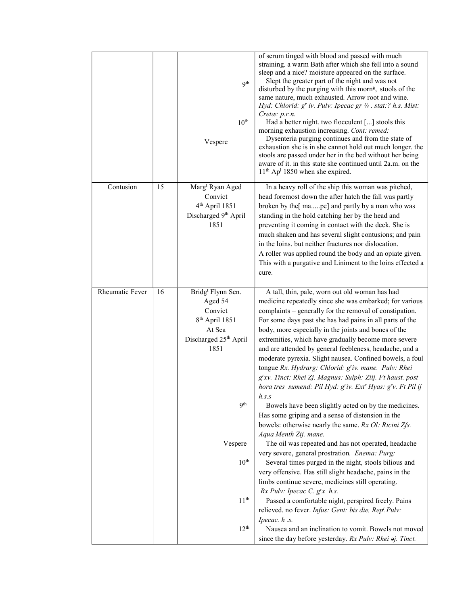|                 |    | 9 <sup>th</sup><br>10 <sup>th</sup><br>Vespere                                                                               | of serum tinged with blood and passed with much<br>straining. a warm Bath after which she fell into a sound<br>sleep and a nice? moisture appeared on the surface.<br>Slept the greater part of the night and was not<br>disturbed by the purging with this morn <sup>g</sup> , stools of the<br>same nature, much exhausted. Arrow root and wine.<br>Hyd: Chlorid: g' iv. Pulv: Ipecac gr 1/4 . stat:? h.s. Mist:<br>Cretæ: p.r.n.<br>Had a better night. two flocculent [] stools this<br>morning exhaustion increasing. Cont: remed:<br>Dysenteria purging continues and from the state of<br>exhaustion she is in she cannot hold out much longer. the<br>stools are passed under her in the bed without her being<br>aware of it. in this state she continued until 2a.m. on the<br>$11th$ Ap <sup>1</sup> 1850 when she expired. |
|-----------------|----|------------------------------------------------------------------------------------------------------------------------------|----------------------------------------------------------------------------------------------------------------------------------------------------------------------------------------------------------------------------------------------------------------------------------------------------------------------------------------------------------------------------------------------------------------------------------------------------------------------------------------------------------------------------------------------------------------------------------------------------------------------------------------------------------------------------------------------------------------------------------------------------------------------------------------------------------------------------------------|
| Contusion       | 15 | Marg <sup>t</sup> Ryan Aged<br>Convict<br>4 <sup>th</sup> April 1851<br>Discharged 9th April<br>1851                         | In a heavy roll of the ship this woman was pitched,<br>head foremost down the after hatch the fall was partly<br>broken by the[ mape] and partly by a man who was<br>standing in the hold catching her by the head and<br>preventing it coming in contact with the deck. She is<br>much shaken and has several slight contusions; and pain<br>in the loins. but neither fractures nor dislocation.<br>A roller was applied round the body and an opiate given.<br>This with a purgative and Liniment to the loins effected a<br>cure.                                                                                                                                                                                                                                                                                                  |
| Rheumatic Fever | 16 | Bridg <sup>t</sup> Flynn Sen.<br>Aged 54<br>Convict<br>8 <sup>th</sup> April 1851<br>At Sea<br>Discharged 25th April<br>1851 | A tall, thin, pale, worn out old woman has had<br>medicine repeatedly since she was embarked; for various<br>complaints – generally for the removal of constipation.<br>For some days past she has had pains in all parts of the<br>body, more especially in the joints and bones of the<br>extremities, which have gradually become more severe<br>and are attended by general feebleness, headache, and a<br>moderate pyrexia. Slight nausea. Confined bowels, a foul<br>tongue Rx. Hydrarg: Chlorid: g'iv. mane. Pulv: Rhei<br>g'xv. Tinct: Rhei Zj. Magnus: Sulph: Ziij. Ft haust. post<br>hora tres sumend: Pil Hyd: g'iv. Ext' Hyas: g'v. Ft Pil ij<br>h.s.s                                                                                                                                                                     |
|                 |    | <b>Qth</b><br>Vespere<br>10 <sup>th</sup>                                                                                    | Bowels have been slightly acted on by the medicines.<br>Has some griping and a sense of distension in the<br>bowels: otherwise nearly the same. Rx Ol: Ricini Zfs.<br>Aqua Menth Zij. mane.<br>The oil was repeated and has not operated, headache<br>very severe, general prostration. Enema: Purg:<br>Several times purged in the night, stools bilious and<br>very offensive. Has still slight headache, pains in the<br>limbs continue severe, medicines still operating.<br>Rx Pulv: Ipecac C. g'x h.s.                                                                                                                                                                                                                                                                                                                           |
|                 |    | $11^{\rm th}$<br>12 <sup>th</sup>                                                                                            | Passed a comfortable night, perspired freely. Pains<br>relieved. no fever. Infus: Gent: bis die, Rep <sup>t</sup> .Pulv:<br>Ipecac. h.s.<br>Nausea and an inclination to vomit. Bowels not moved<br>since the day before yesterday. Rx Pulv: Rhei aj. Tinct.                                                                                                                                                                                                                                                                                                                                                                                                                                                                                                                                                                           |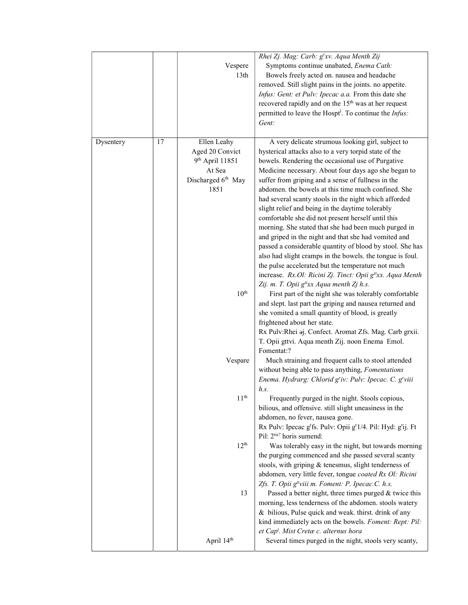|           |    |                    | Rhei Zj. Mag: Carb: g'xv. Aqua Menth Zij                                                          |
|-----------|----|--------------------|---------------------------------------------------------------------------------------------------|
|           |    | Vespere            | Symptoms continue unabated, Enema Cath:                                                           |
|           |    | 13 <sup>th</sup>   | Bowels freely acted on. nausea and headache                                                       |
|           |    |                    | removed. Still slight pains in the joints. no appetite.                                           |
|           |    |                    | Infus: Gent: et Pulv: Ipecac a.a. From this date she                                              |
|           |    |                    |                                                                                                   |
|           |    |                    | recovered rapidly and on the 15 <sup>th</sup> was at her request                                  |
|           |    |                    | permitted to leave the Hospt <sup>1</sup> . To continue the <i>Infus</i> :                        |
|           |    |                    | Gent:                                                                                             |
|           |    |                    |                                                                                                   |
| Dysentery | 17 | Ellen Leahy        | A very delicate strumous looking girl, subject to                                                 |
|           |    | Aged 20 Convict    | hysterical attacks also to a very torpid state of the                                             |
|           |    | 9th April 11851    | bowels. Rendering the occasional use of Purgative                                                 |
|           |    | At Sea             | Medicine necessary. About four days ago she began to                                              |
|           |    | Discharged 6th May | suffer from griping and a sense of fullness in the                                                |
|           |    | 1851               | abdomen, the bowels at this time much confined. She                                               |
|           |    |                    | had several scanty stools in the night which afforded                                             |
|           |    |                    | slight relief and being in the daytime tolerably                                                  |
|           |    |                    |                                                                                                   |
|           |    |                    | comfortable she did not present herself until this                                                |
|           |    |                    | morning. She stated that she had been much purged in                                              |
|           |    |                    | and griped in the night and that she had vomited and                                              |
|           |    |                    | passed a considerable quantity of blood by stool. She has                                         |
|           |    |                    | also had slight cramps in the bowels. the tongue is foul.                                         |
|           |    |                    | the pulse accelerated but the temperature not much                                                |
|           |    |                    | increase. Rx.Ol: Ricini Zj. Tinct: Opii g <sup>tt</sup> xx. Aqua Menth                            |
|           |    |                    | Zij. m. T. Opii g <sup>ttxx</sup> Aqua menth Zj h.s.                                              |
|           |    | 10 <sup>th</sup>   | First part of the night she was tolerably comfortable                                             |
|           |    |                    | and slept. last part the griping and nausea returned and                                          |
|           |    |                    | she vomited a small quantity of blood, is greatly                                                 |
|           |    |                    | frightened about her state.                                                                       |
|           |    |                    | Rx Pulv:Rhei aj. Confect. Aromat Zfs. Mag. Carb grxii.                                            |
|           |    |                    | T. Opii gttvi. Aqua menth Zij. noon Enema Emol.                                                   |
|           |    |                    | Fomentat:?                                                                                        |
|           |    | Vespare            | Much straining and frequent calls to stool attended                                               |
|           |    |                    | without being able to pass anything, Fomentations                                                 |
|           |    |                    | Enema. Hydrarg: Chlorid g'iv: Pulv: Ipecac. C. g'viii                                             |
|           |    |                    |                                                                                                   |
|           |    | 11 <sup>th</sup>   | h.s.                                                                                              |
|           |    |                    | Frequently purged in the night. Stools copious,                                                   |
|           |    |                    | bilious, and offensive. still slight uneasiness in the                                            |
|           |    |                    | abdomen, no fever, nausea gone.                                                                   |
|           |    |                    | Rx Pulv: Ipecac g <sup>r</sup> fs. Pulv: Opii g <sup>r</sup> 1/4. Pil: Hyd: g <sup>r</sup> ij. Ft |
|           |    |                    | Pil: 2tis? horis sumend:                                                                          |
|           |    | 12 <sup>th</sup>   | Was tolerably easy in the night, but towards morning                                              |
|           |    |                    | the purging commenced and she passed several scanty                                               |
|           |    |                    | stools, with griping & tenesmus, slight tenderness of                                             |
|           |    |                    | abdomen, very little fever, tongue coated Rx Ol: Ricini                                           |
|           |    |                    | Zfs. T. Opii g <sup>tt</sup> viii m. Foment: P. Ipecac.C. h.s.                                    |
|           |    | 13                 | Passed a better night, three times purged & twice this                                            |
|           |    |                    | morning, less tenderness of the abdomen. stools watery                                            |
|           |    |                    | & bilious, Pulse quick and weak. thirst. drink of any                                             |
|           |    |                    | kind immediately acts on the bowels. Foment: Rept: Pil:                                           |
|           |    |                    | et Cap <sup>t</sup> . Mist Cretæ c. alternus hora                                                 |
|           |    | April 14th         | Several times purged in the night, stools very scanty,                                            |
|           |    |                    |                                                                                                   |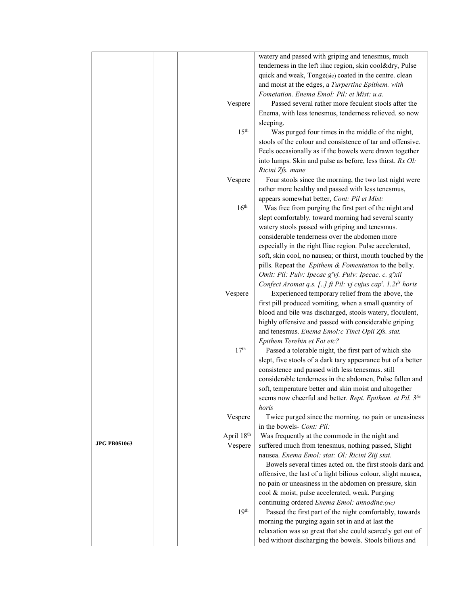|                     |                  | watery and passed with griping and tenesmus, much                                   |
|---------------------|------------------|-------------------------------------------------------------------------------------|
|                     |                  | tenderness in the left iliac region, skin cool&dry, Pulse                           |
|                     |                  | quick and weak, Tonge(sic) coated in the centre. clean                              |
|                     |                  | and moist at the edges, a Turpertine Epithem. with                                  |
|                     |                  |                                                                                     |
|                     |                  | Fometation. Enema Emol: Pil: et Mist: u.a.                                          |
|                     | Vespere          | Passed several rather more feculent stools after the                                |
|                     |                  | Enema, with less tenesmus, tenderness relieved. so now                              |
|                     |                  | sleeping.                                                                           |
|                     | 15 <sup>th</sup> | Was purged four times in the middle of the night,                                   |
|                     |                  | stools of the colour and consistence of tar and offensive.                          |
|                     |                  | Feels occasionally as if the bowels were drawn together                             |
|                     |                  | into lumps. Skin and pulse as before, less thirst. Rx Ol:                           |
|                     |                  | Ricini Zfs. mane                                                                    |
|                     | Vespere          | Four stools since the morning, the two last night were                              |
|                     |                  | rather more healthy and passed with less tenesmus,                                  |
|                     |                  | appears somewhat better, Cont: Pil et Mist:                                         |
|                     | 16 <sup>th</sup> | Was free from purging the first part of the night and                               |
|                     |                  | slept comfortably. toward morning had several scanty                                |
|                     |                  | watery stools passed with griping and tenesmus.                                     |
|                     |                  | considerable tenderness over the abdomen more                                       |
|                     |                  | especially in the right Iliac region. Pulse accelerated,                            |
|                     |                  | soft, skin cool, no nausea; or thirst, mouth touched by the                         |
|                     |                  |                                                                                     |
|                     |                  | pills. Repeat the Epithem & Fomentation to the belly.                               |
|                     |                  | Omit: Pil: Pulv: Ipecac g'vj. Pulv: Ipecac. c. g'xii                                |
|                     |                  | Confect Aromat q.s. [] ft Pil: vj cujus cap <sup>t</sup> . 1.2t <sup>is</sup> horis |
|                     | Vespere          | Experienced temporary relief from the above, the                                    |
|                     |                  | first pill produced vomiting, when a small quantity of                              |
|                     |                  | blood and bile was discharged, stools watery, floculent,                            |
|                     |                  | highly offensive and passed with considerable griping                               |
|                     |                  | and tenesmus. Enema Emol:c Tinct Opii Zfs. stat.                                    |
|                     |                  | Epithem Terebin et Fot etc?                                                         |
|                     | 17 <sup>th</sup> | Passed a tolerable night, the first part of which she                               |
|                     |                  | slept, five stools of a dark tary appearance but of a better                        |
|                     |                  | consistence and passed with less tenesmus. still                                    |
|                     |                  | considerable tenderness in the abdomen, Pulse fallen and                            |
|                     |                  | soft, temperature better and skin moist and altogether                              |
|                     |                  | seems now cheerful and better. Rept. Epithem. et Pil. 3tis                          |
|                     |                  | horis                                                                               |
|                     | Vespere          | Twice purged since the morning. no pain or uneasiness                               |
|                     |                  | in the bowels- Cont: Pil:                                                           |
|                     | April 18th       | Was frequently at the commode in the night and                                      |
| <b>JPG PB051063</b> |                  | suffered much from tenesmus, nothing passed, Slight                                 |
|                     | Vespere          |                                                                                     |
|                     |                  | nausea. Enema Emol: stat: Ol: Ricini Ziij stat.                                     |
|                     |                  | Bowels several times acted on. the first stools dark and                            |
|                     |                  | offensive, the last of a light bilious colour, slight nausea,                       |
|                     |                  | no pain or uneasiness in the abdomen on pressure, skin                              |
|                     |                  | cool & moist, pulse accelerated, weak. Purging                                      |
|                     |                  | continuing ordered Enema Emol: annodine:(sic)                                       |
|                     | 19 <sup>th</sup> | Passed the first part of the night comfortably, towards                             |
|                     |                  | morning the purging again set in and at last the                                    |
|                     |                  | relaxation was so great that she could scarcely get out of                          |
|                     |                  | bed without discharging the bowels. Stools bilious and                              |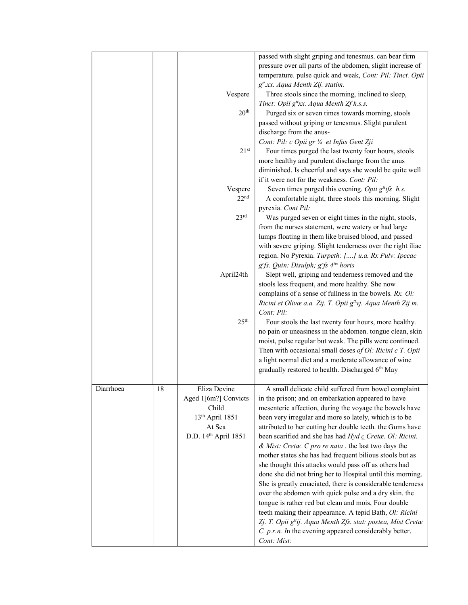|           |    |                             | passed with slight griping and tenesmus. can bear firm                   |
|-----------|----|-----------------------------|--------------------------------------------------------------------------|
|           |    |                             | pressure over all parts of the abdomen, slight increase of               |
|           |    |                             | temperature. pulse quick and weak, Cont: Pil: Tinct. Opii                |
|           |    |                             | g <sup>tt</sup> .xx. Aqua Menth Zij. statim.                             |
|           |    | Vespere                     | Three stools since the morning, inclined to sleep,                       |
|           |    |                             | Tinct: Opii g <sup>tt</sup> xx. Aqua Menth Zf h.s.s.                     |
|           |    | 20 <sup>th</sup>            | Purged six or seven times towards morning, stools                        |
|           |    |                             | passed without griping or tenesmus. Slight purulent                      |
|           |    |                             | discharge from the anus-                                                 |
|           |    |                             | Cont: Pil: c Opii gr 1/4 et Infus Gent Zji                               |
|           |    | $21^{st}$                   | Four times purged the last twenty four hours, stools                     |
|           |    |                             | more healthy and purulent discharge from the anus                        |
|           |    |                             | diminished. Is cheerful and says she would be quite well                 |
|           |    |                             | if it were not for the weakness. Cont: Pil:                              |
|           |    | Vespere                     | Seven times purged this evening. Opii $g^{ti}$ ts h.s.                   |
|           |    | 22 <sup>nd</sup>            | A comfortable night, three stools this morning. Slight                   |
|           |    |                             | pyrexia. Cont Pil:                                                       |
|           |    | 23 <sup>rd</sup>            | Was purged seven or eight times in the night, stools,                    |
|           |    |                             | from the nurses statement, were watery or had large                      |
|           |    |                             | lumps floating in them like bruised blood, and passed                    |
|           |    |                             | with severe griping. Slight tenderness over the right iliac              |
|           |    |                             | region. No Pyrexia. Turpeth: [] u.a. Rx Pulv: Ipecac                     |
|           |    |                             | g'fs. Quin: Disulph; g'fs 4 <sup>tis</sup> horis                         |
|           |    | April24th                   | Slept well, griping and tenderness removed and the                       |
|           |    |                             | stools less frequent, and more healthy. She now                          |
|           |    |                             | complains of a sense of fullness in the bowels. Rx. Ol:                  |
|           |    |                             | Ricini et Olivæ a.a. Zij. T. Opii g <sup>tt</sup> vj. Aqua Menth Zij m.  |
|           |    |                             | Cont: Pil:                                                               |
|           |    | 25 <sup>th</sup>            | Four stools the last twenty four hours, more healthy.                    |
|           |    |                             | no pain or uneasiness in the abdomen. tongue clean, skin                 |
|           |    |                             | moist, pulse regular but weak. The pills were continued.                 |
|           |    |                             | Then with occasional small doses of Ol: Ricini $c$ T. Opii               |
|           |    |                             | a light normal diet and a moderate allowance of wine                     |
|           |    |                             | gradually restored to health. Discharged 6th May                         |
|           |    |                             |                                                                          |
| Diarrhoea | 18 | Eliza Devine                | A small delicate child suffered from bowel complaint                     |
|           |    | Aged 1[6m?] Convicts        | in the prison; and on embarkation appeared to have                       |
|           |    | Child                       | mesenteric affection, during the voyage the bowels have                  |
|           |    | 13 <sup>th</sup> April 1851 | been very irregular and more so lately, which is to be                   |
|           |    | At Sea                      | attributed to her cutting her double teeth. the Gums have                |
|           |    | D.D. 14th April 1851        | been scarified and she has had Hyd c Cretæ. Ol: Ricini.                  |
|           |    |                             | & Mist: Cretæ. C pro re nata . the last two days the                     |
|           |    |                             | mother states she has had frequent bilious stools but as                 |
|           |    |                             | she thought this attacks would pass off as others had                    |
|           |    |                             | done she did not bring her to Hospital until this morning.               |
|           |    |                             | She is greatly emaciated, there is considerable tenderness               |
|           |    |                             | over the abdomen with quick pulse and a dry skin. the                    |
|           |    |                             | tongue is rather red but clean and mois, Four double                     |
|           |    |                             | teeth making their appearance. A tepid Bath, Ol: Ricini                  |
|           |    |                             | Zj. T. Opii g <sup>it</sup> ij. Aqua Menth Zfs. stat: postea, Mist Cretæ |
|           |    |                             | $C. p.r.n.$ In the evening appeared considerably better.                 |
|           |    |                             | Cont: Mist:                                                              |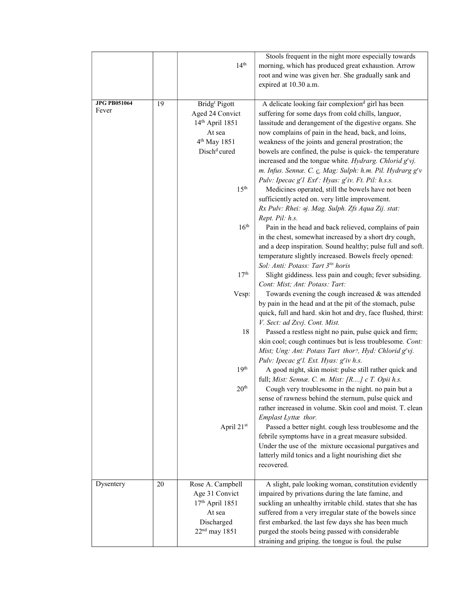|                              |    | 14 <sup>th</sup>                                                                                                                                                                                                                                                               | Stools frequent in the night more especially towards<br>morning, which has produced great exhaustion. Arrow<br>root and wine was given her. She gradually sank and<br>expired at 10.30 a.m.                                                                                                                                                                                                                                                                                                                                                                                                                                                                                                                                                                                                                                                                                                                                                                                                                                                                                                                                                                                                                                                                                                                                                                                                                                                                                                                                                                                                                                                                                                                                                                                                                                                                                                                                                                                                                                                                                                                               |
|------------------------------|----|--------------------------------------------------------------------------------------------------------------------------------------------------------------------------------------------------------------------------------------------------------------------------------|---------------------------------------------------------------------------------------------------------------------------------------------------------------------------------------------------------------------------------------------------------------------------------------------------------------------------------------------------------------------------------------------------------------------------------------------------------------------------------------------------------------------------------------------------------------------------------------------------------------------------------------------------------------------------------------------------------------------------------------------------------------------------------------------------------------------------------------------------------------------------------------------------------------------------------------------------------------------------------------------------------------------------------------------------------------------------------------------------------------------------------------------------------------------------------------------------------------------------------------------------------------------------------------------------------------------------------------------------------------------------------------------------------------------------------------------------------------------------------------------------------------------------------------------------------------------------------------------------------------------------------------------------------------------------------------------------------------------------------------------------------------------------------------------------------------------------------------------------------------------------------------------------------------------------------------------------------------------------------------------------------------------------------------------------------------------------------------------------------------------------|
| <b>JPG PB051064</b><br>Fever | 19 | Bridg <sup>t</sup> Pigott<br>Aged 24 Convict<br>14 <sup>th</sup> April 1851<br>At sea<br>4 <sup>th</sup> May 1851<br>Disch <sup>d</sup> cured<br>15 <sup>th</sup><br>16 <sup>th</sup><br>17 <sup>th</sup><br>Vesp:<br>18<br>19 <sup>th</sup><br>20 <sup>th</sup><br>April 21st | A delicate looking fair complexion <sup>d</sup> girl has been<br>suffering for some days from cold chills, languor,<br>lassitude and derangement of the digestive organs. She<br>now complains of pain in the head, back, and loins,<br>weakness of the joints and general prostration; the<br>bowels are confined, the pulse is quick- the temperature<br>increased and the tongue white. Hydrarg. Chlorid g'vj.<br>m. Infus. Sennæ. C. c. Mag: Sulph: h.m. Pil. Hydrarg g'v<br>Pulv: Ipecac g'l Ext': Hyas: g'iv. Ft. Pil: h.s.s.<br>Medicines operated, still the bowels have not been<br>sufficiently acted on. very little improvement.<br>Rx Pulv: Rhei: $\Theta$ j. Mag. Sulph. Zfs Aqua Zij. stat:<br>Rept. Pil: h.s.<br>Pain in the head and back relieved, complains of pain<br>in the chest, somewhat increased by a short dry cough,<br>and a deep inspiration. Sound healthy; pulse full and soft.<br>temperature slightly increased. Bowels freely opened:<br>Sol: Anti: Potass: Tart 3tis horis<br>Slight giddiness. less pain and cough; fever subsiding.<br>Cont: Mist; Ant: Potass: Tart:<br>Towards evening the cough increased & was attended<br>by pain in the head and at the pit of the stomach, pulse<br>quick, full and hard. skin hot and dry, face flushed, thirst:<br>V. Sect: ad Zxvj. Cont. Mist.<br>Passed a restless night no pain, pulse quick and firm;<br>skin cool; cough continues but is less troublesome. Cont:<br>Mist; Ung: Ant: Potass Tart thor?, Hyd: Chlorid g'vj.<br>Pulv: Ipecac g'l. Ext. Hyas: g'iv h.s.<br>A good night, skin moist: pulse still rather quick and<br>full; Mist: Sennæ. C. m. Mist: [R] c T. Opii h.s.<br>Cough very troublesome in the night. no pain but a<br>sense of rawness behind the sternum, pulse quick and<br>rather increased in volume. Skin cool and moist. T. clean<br>Emplast Lyttæ thor.<br>Passed a better night. cough less troublesome and the<br>febrile symptoms have in a great measure subsided.<br>Under the use of the mixture occasional purgatives and<br>latterly mild tonics and a light nourishing diet she<br>recovered. |
| Dysentery                    | 20 | Rose A. Campbell                                                                                                                                                                                                                                                               | A slight, pale looking woman, constitution evidently                                                                                                                                                                                                                                                                                                                                                                                                                                                                                                                                                                                                                                                                                                                                                                                                                                                                                                                                                                                                                                                                                                                                                                                                                                                                                                                                                                                                                                                                                                                                                                                                                                                                                                                                                                                                                                                                                                                                                                                                                                                                      |
|                              |    | Age 31 Convict<br>$17th$ April 1851<br>At sea<br>Discharged<br>$22nd$ may 1851                                                                                                                                                                                                 | impaired by privations during the late famine, and<br>suckling an unhealthy irritable child. states that she has<br>suffered from a very irregular state of the bowels since<br>first embarked. the last few days she has been much<br>purged the stools being passed with considerable<br>straining and griping. the tongue is foul. the pulse                                                                                                                                                                                                                                                                                                                                                                                                                                                                                                                                                                                                                                                                                                                                                                                                                                                                                                                                                                                                                                                                                                                                                                                                                                                                                                                                                                                                                                                                                                                                                                                                                                                                                                                                                                           |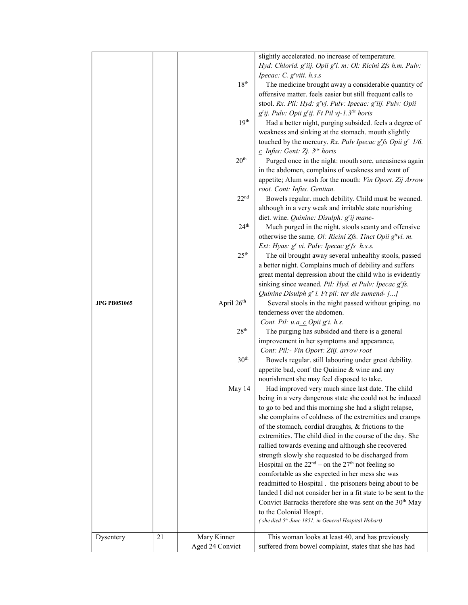|                     |    |                        | slightly accelerated. no increase of temperature.                     |
|---------------------|----|------------------------|-----------------------------------------------------------------------|
|                     |    |                        | Hyd: Chlorid. g'iij. Opii g'l. m: Ol: Ricini Zfs h.m. Pulv:           |
|                     |    |                        | Ipecac: C. g'viii. h.s.s                                              |
|                     |    | 18 <sup>th</sup>       | The medicine brought away a considerable quantity of                  |
|                     |    |                        | offensive matter. feels easier but still frequent calls to            |
|                     |    |                        | stool. Rx. Pil: Hyd: g'vj. Pulv: Ipecac: g'iij. Pulv: Opii            |
|                     |    |                        | g'ij. Pulv: Opii g'ij. Ft Pil vj-1.3 <sup>tis</sup> horis             |
|                     |    | 19 <sup>th</sup>       | Had a better night, purging subsided. feels a degree of               |
|                     |    |                        |                                                                       |
|                     |    |                        | weakness and sinking at the stomach. mouth slightly                   |
|                     |    |                        | touched by the mercury. Rx. Pulv Ipecac $g^r$ fs Opii $g^r$ 1/6.      |
|                     |    |                        | $c$ Infus: Gent: Zj. $3^{iis}$ horis                                  |
|                     |    | 20 <sup>th</sup>       | Purged once in the night: mouth sore, uneasiness again                |
|                     |    |                        | in the abdomen, complains of weakness and want of                     |
|                     |    |                        | appetite; Alum wash for the mouth: Vin Oport. Zij Arrow               |
|                     |    |                        | root. Cont: Infus. Gentian.                                           |
|                     |    | 22 <sup>nd</sup>       | Bowels regular. much debility. Child must be weaned.                  |
|                     |    |                        | although in a very weak and irritable state nourishing                |
|                     |    |                        | diet. wine. Quinine: Disulph: g'ij mane-                              |
|                     |    | 24 <sup>th</sup>       | Much purged in the night. stools scanty and offensive                 |
|                     |    |                        | otherwise the same, Ol: Ricini Zfs. Tinct Opii g <sup>tt</sup> vi. m. |
|                     |    |                        | Ext: Hyas: g' vi. Pulv: Ipecac g'fs h.s.s.                            |
|                     |    | 25 <sup>th</sup>       | The oil brought away several unhealthy stools, passed                 |
|                     |    |                        | a better night. Complains much of debility and suffers                |
|                     |    |                        | great mental depression about the child who is evidently              |
|                     |    |                        | sinking since weaned. Pil: Hyd. et Pulv: Ipecac g'fs.                 |
|                     |    |                        | Quinine Disulph g' i. Ft pil: ter die sumend-[]                       |
| <b>JPG PB051065</b> |    | April 26 <sup>th</sup> | Several stools in the night passed without griping. no                |
|                     |    |                        | tenderness over the abdomen.                                          |
|                     |    |                        | Cont. Pil: u.a. c Opii g'i. h.s.                                      |
|                     |    | 28 <sup>th</sup>       | The purging has subsided and there is a general                       |
|                     |    |                        | improvement in her symptoms and appearance,                           |
|                     |    |                        | Cont: Pil:- Vin Oport: Ziij. arrow root                               |
|                     |    | 30 <sup>th</sup>       | Bowels regular. still labouring under great debility.                 |
|                     |    |                        | appetite bad, cont <sup>r</sup> the Quinine & wine and any            |
|                     |    |                        |                                                                       |
|                     |    |                        | nourishment she may feel disposed to take.                            |
|                     |    | May 14                 | Had improved very much since last date. The child                     |
|                     |    |                        | being in a very dangerous state she could not be induced              |
|                     |    |                        | to go to bed and this morning she had a slight relapse,               |
|                     |    |                        | she complains of coldness of the extremities and cramps               |
|                     |    |                        | of the stomach, cordial draughts, & frictions to the                  |
|                     |    |                        | extremities. The child died in the course of the day. She             |
|                     |    |                        | rallied towards evening and although she recovered                    |
|                     |    |                        | strength slowly she requested to be discharged from                   |
|                     |    |                        | Hospital on the $22nd$ – on the $27th$ not feeling so                 |
|                     |    |                        | comfortable as she expected in her mess she was                       |
|                     |    |                        | readmitted to Hospital . the prisoners being about to be              |
|                     |    |                        | landed I did not consider her in a fit state to be sent to the        |
|                     |    |                        | Convict Barracks therefore she was sent on the 30 <sup>th</sup> May   |
|                     |    |                        | to the Colonial Hospt <sup>1</sup> .                                  |
|                     |    |                        | (she died 5 <sup>th</sup> June 1851, in General Hospital Hobart)      |
|                     |    |                        |                                                                       |
| Dysentery           | 21 | Mary Kinner            | This woman looks at least 40, and has previously                      |
|                     |    | Aged 24 Convict        | suffered from bowel complaint, states that she has had                |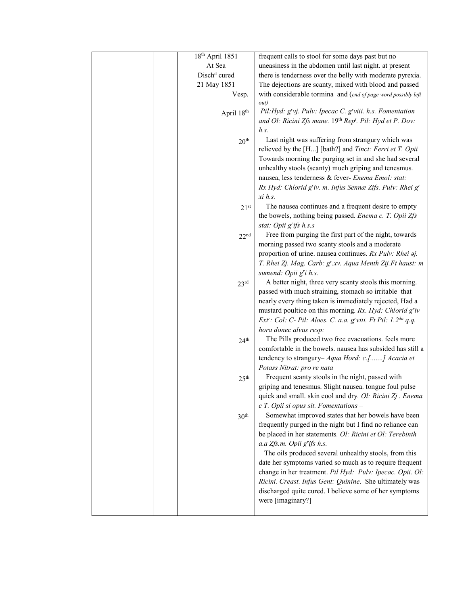|  | 18th April 1851          | frequent calls to stool for some days past but no                               |
|--|--------------------------|---------------------------------------------------------------------------------|
|  | At Sea                   | uneasiness in the abdomen until last night. at present                          |
|  | Disch <sup>d</sup> cured | there is tenderness over the belly with moderate pyrexia.                       |
|  | 21 May 1851              | The dejections are scanty, mixed with blood and passed                          |
|  | Vesp.                    | with considerable tormina and (end of page word possibly left                   |
|  |                          | out)                                                                            |
|  | April 18th               | Pil: Hyd: g'vj. Pulv: Ipecac C. g'viii. h.s. Fomentation                        |
|  |                          | and Ol: Ricini Zfs mane. 19th Rep <sup>t</sup> . Pil: Hyd et P. Dov:            |
|  |                          | h.s.                                                                            |
|  | 20 <sup>th</sup>         | Last night was suffering from strangury which was                               |
|  |                          | relieved by the [H] [bath?] and Tinct: Ferri et T. Opii                         |
|  |                          | Towards morning the purging set in and she had several                          |
|  |                          | unhealthy stools (scanty) much griping and tenesmus.                            |
|  |                          | nausea, less tenderness & fever- Enema Emol: stat:                              |
|  |                          | Rx Hyd: Chlorid g'iv. m. Infus Sennæ Zifs. Pulv: Rhei g'                        |
|  |                          | $xi$ h.s.                                                                       |
|  | 21 <sup>st</sup>         | The nausea continues and a frequent desire to empty                             |
|  |                          | the bowels, nothing being passed. Enema c. T. Opii Zfs                          |
|  |                          | stat: Opii g'ifs h.s.s                                                          |
|  | 22 <sup>nd</sup>         | Free from purging the first part of the night, towards                          |
|  |                          | morning passed two scanty stools and a moderate                                 |
|  |                          | proportion of urine. nausea continues. Rx Pulv: Rhei 2j.                        |
|  |                          | T. Rhei Zj. Mag. Carb: g'.xv. Aqua Menth Zij.Ft haust: m                        |
|  |                          | sumend: Opii g'i h.s.<br>A better night, three very scanty stools this morning. |
|  | 23 <sup>rd</sup>         | passed with much straining, stomach so irritable that                           |
|  |                          | nearly every thing taken is immediately rejected, Had a                         |
|  |                          | mustard poultice on this morning. Rx. Hyd: Chlorid g'iv                         |
|  |                          | Ext': Col: C- Pil: Aloes. C. a.a. g'viii. Ft Pil: 1.2 <sup>da</sup> q.q.        |
|  |                          | hora donec alvus resp:                                                          |
|  | 24 <sup>th</sup>         | The Pills produced two free evacuations. feels more                             |
|  |                          | comfortable in the bowels. nausea has subsided has still a                      |
|  |                          | tendency to strangury- Aqua Hord: c.[] Acacia et                                |
|  |                          | Potass Nitrat: pro re nata                                                      |
|  | 25 <sup>th</sup>         | Frequent scanty stools in the night, passed with                                |
|  |                          | griping and tenesmus. Slight nausea. tongue foul pulse                          |
|  |                          | quick and small. skin cool and dry. Ol: Ricini Zj . Enema                       |
|  |                          | $c$ T. Opii si opus sit. Fomentations -                                         |
|  | $30^{\rm th}$            | Somewhat improved states that her bowels have been                              |
|  |                          | frequently purged in the night but I find no reliance can                       |
|  |                          | be placed in her statements. Ol: Ricini et Ol: Terebinth                        |
|  |                          | a.a Zfs.m. Opii g'ifs h.s.                                                      |
|  |                          | The oils produced several unhealthy stools, from this                           |
|  |                          | date her symptoms varied so much as to require frequent                         |
|  |                          | change in her treatment. Pil Hyd: Pulv: Ipecac. Opii. Ol:                       |
|  |                          | Ricini. Creast. Infus Gent: Quinine. She ultimately was                         |
|  |                          | discharged quite cured. I believe some of her symptoms                          |
|  |                          | were [imaginary?]                                                               |
|  |                          |                                                                                 |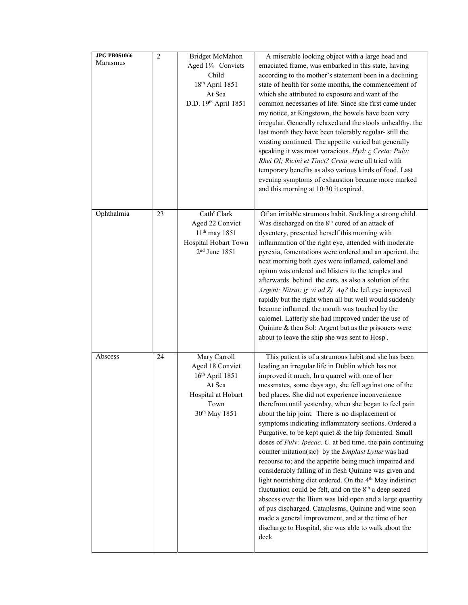| <b>JPG PB051066</b><br>Marasmus | $\overline{2}$ | Bridget McMahon<br>Aged 11/4 Convicts<br>Child<br>18 <sup>th</sup> April 1851<br>At Sea<br>D.D. 19th April 1851           | A miserable looking object with a large head and<br>emaciated frame, was embarked in this state, having<br>according to the mother's statement been in a declining<br>state of health for some months, the commencement of<br>which she attributed to exposure and want of the<br>common necessaries of life. Since she first came under                                                                                                                                                                                                                                                                                                                                                                                                                                                                                                                                                                                                                                                                                                                                                                                                           |
|---------------------------------|----------------|---------------------------------------------------------------------------------------------------------------------------|----------------------------------------------------------------------------------------------------------------------------------------------------------------------------------------------------------------------------------------------------------------------------------------------------------------------------------------------------------------------------------------------------------------------------------------------------------------------------------------------------------------------------------------------------------------------------------------------------------------------------------------------------------------------------------------------------------------------------------------------------------------------------------------------------------------------------------------------------------------------------------------------------------------------------------------------------------------------------------------------------------------------------------------------------------------------------------------------------------------------------------------------------|
|                                 |                |                                                                                                                           | my notice, at Kingstown, the bowels have been very<br>irregular. Generally relaxed and the stools unhealthy. the<br>last month they have been tolerably regular-still the<br>wasting continued. The appetite varied but generally<br>speaking it was most voracious. Hyd: c Creta: Pulv:<br>Rhei Ol; Ricini et Tinct? Creta were all tried with<br>temporary benefits as also various kinds of food. Last<br>evening symptoms of exhaustion became more marked<br>and this morning at 10:30 it expired.                                                                                                                                                                                                                                                                                                                                                                                                                                                                                                                                                                                                                                            |
| Ophthalmia                      | 23             | Cath <sup>e</sup> Clark<br>Aged 22 Convict<br>$11^{th}$ may 1851<br>Hospital Hobart Town<br>$2nd$ June 1851               | Of an irritable strumous habit. Suckling a strong child.<br>Was discharged on the 8 <sup>th</sup> cured of an attack of<br>dysentery, presented herself this morning with<br>inflammation of the right eye, attended with moderate<br>pyrexia, fomentations were ordered and an aperient. the<br>next morning both eyes were inflamed, calomel and<br>opium was ordered and blisters to the temples and<br>afterwards behind the ears, as also a solution of the<br>Argent: Nitrat: g' vi ad Zj Aq? the left eye improved<br>rapidly but the right when all but well would suddenly<br>become inflamed. the mouth was touched by the<br>calomel. Latterly she had improved under the use of<br>Quinine & then Sol: Argent but as the prisoners were<br>about to leave the ship she was sent to Hosp <sup>1</sup> .                                                                                                                                                                                                                                                                                                                                 |
| Abscess                         | 24             | Mary Carroll<br>Aged 18 Convict<br>$16th$ April 1851<br>At Sea<br>Hospital at Hobart<br>Town<br>30 <sup>th</sup> May 1851 | This patient is of a strumous habit and she has been<br>leading an irregular life in Dublin which has not<br>improved it much, In a quarrel with one of her<br>messmates, some days ago, she fell against one of the<br>bed places. She did not experience inconvenience<br>therefrom until yesterday, when she began to feel pain<br>about the hip joint. There is no displacement or<br>symptoms indicating inflammatory sections. Ordered a<br>Purgative, to be kept quiet & the hip fomented. Small<br>doses of <i>Pulv: Ipecac. C.</i> at bed time. the pain continuing<br>counter initation(sic) by the Emplast Lyttæ was had<br>recourse to; and the appetite being much impaired and<br>considerably falling of in flesh Quinine was given and<br>light nourishing diet ordered. On the 4 <sup>th</sup> May indistinct<br>fluctuation could be felt, and on the 8 <sup>th</sup> a deep seated<br>abscess over the Ilium was laid open and a large quantity<br>of pus discharged. Cataplasms, Quinine and wine soon<br>made a general improvement, and at the time of her<br>discharge to Hospital, she was able to walk about the<br>deck. |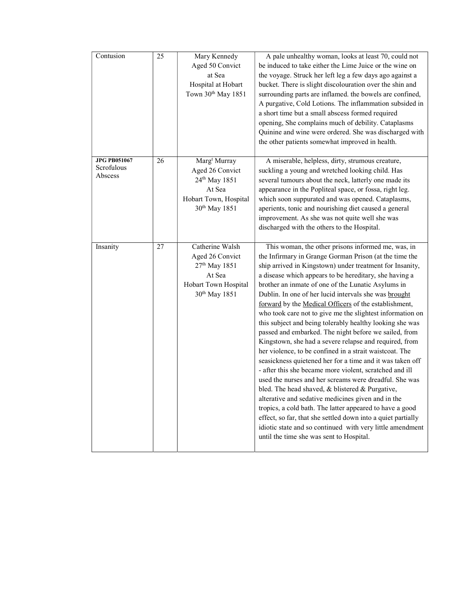| Contusion                                    | 25 | Mary Kennedy<br>Aged 50 Convict<br>at Sea<br>Hospital at Hobart<br>Town 30 <sup>th</sup> May 1851                                        | A pale unhealthy woman, looks at least 70, could not<br>be induced to take either the Lime Juice or the wine on<br>the voyage. Struck her left leg a few days ago against a<br>bucket. There is slight discolouration over the shin and<br>surrounding parts are inflamed. the bowels are confined,<br>A purgative, Cold Lotions. The inflammation subsided in<br>a short time but a small abscess formed required<br>opening, She complains much of debility. Cataplasms<br>Quinine and wine were ordered. She was discharged with<br>the other patients somewhat improved in health.                                                                                                                                                                                                                                                                                                                                                                                                                                                                                                                                                                                                                                                            |
|----------------------------------------------|----|------------------------------------------------------------------------------------------------------------------------------------------|---------------------------------------------------------------------------------------------------------------------------------------------------------------------------------------------------------------------------------------------------------------------------------------------------------------------------------------------------------------------------------------------------------------------------------------------------------------------------------------------------------------------------------------------------------------------------------------------------------------------------------------------------------------------------------------------------------------------------------------------------------------------------------------------------------------------------------------------------------------------------------------------------------------------------------------------------------------------------------------------------------------------------------------------------------------------------------------------------------------------------------------------------------------------------------------------------------------------------------------------------|
| <b>JPG PB051067</b><br>Scrofulous<br>Abscess | 26 | Marg <sup>t</sup> Murray<br>Aged 26 Convict<br>24 <sup>th</sup> May 1851<br>At Sea<br>Hobart Town, Hospital<br>30 <sup>th</sup> May 1851 | A miserable, helpless, dirty, strumous creature,<br>suckling a young and wretched looking child. Has<br>several tumours about the neck, latterly one made its<br>appearance in the Popliteal space, or fossa, right leg.<br>which soon suppurated and was opened. Cataplasms,<br>aperients, tonic and nourishing diet caused a general<br>improvement. As she was not quite well she was<br>discharged with the others to the Hospital.                                                                                                                                                                                                                                                                                                                                                                                                                                                                                                                                                                                                                                                                                                                                                                                                           |
| Insanity                                     | 27 | Catherine Walsh<br>Aged 26 Convict<br>27 <sup>th</sup> May 1851<br>At Sea<br>Hobart Town Hospital<br>30 <sup>th</sup> May 1851           | This woman, the other prisons informed me, was, in<br>the Infirmary in Grange Gorman Prison (at the time the<br>ship arrived in Kingstown) under treatment for Insanity,<br>a disease which appears to be hereditary, she having a<br>brother an inmate of one of the Lunatic Asylums in<br>Dublin. In one of her lucid intervals she was brought<br>forward by the Medical Officers of the establishment,<br>who took care not to give me the slightest information on<br>this subject and being tolerably healthy looking she was<br>passed and embarked. The night before we sailed, from<br>Kingstown, she had a severe relapse and required, from<br>her violence, to be confined in a strait waistcoat. The<br>seasickness quietened her for a time and it was taken off<br>- after this she became more violent, scratched and ill<br>used the nurses and her screams were dreadful. She was<br>bled. The head shaved, & blistered & Purgative,<br>alterative and sedative medicines given and in the<br>tropics, a cold bath. The latter appeared to have a good<br>effect, so far, that she settled down into a quiet partially<br>idiotic state and so continued with very little amendment<br>until the time she was sent to Hospital. |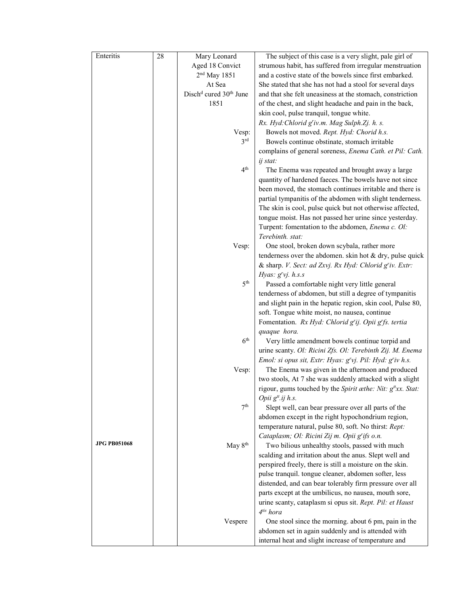| Enteritis           | 28 | Mary Leonard                                   | The subject of this case is a very slight, pale girl of                                                  |
|---------------------|----|------------------------------------------------|----------------------------------------------------------------------------------------------------------|
|                     |    | Aged 18 Convict                                | strumous habit, has suffered from irregular menstruation                                                 |
|                     |    | $2nd$ May 1851                                 | and a costive state of the bowels since first embarked.                                                  |
|                     |    | At Sea                                         | She stated that she has not had a stool for several days                                                 |
|                     |    | Disch <sup>d</sup> cured 30 <sup>th</sup> June | and that she felt uneasiness at the stomach, constriction                                                |
|                     |    | 1851                                           | of the chest, and slight headache and pain in the back,                                                  |
|                     |    |                                                | skin cool, pulse tranquil, tongue white.                                                                 |
|                     |    |                                                | Rx. Hyd: Chlorid g'iv.m. Mag Sulph.Zj. h. s.                                                             |
|                     |    | Vesp:                                          | Bowels not moved. Rept. Hyd: Chorid h.s.                                                                 |
|                     |    | 3 <sup>rd</sup>                                | Bowels continue obstinate, stomach irritable                                                             |
|                     |    |                                                | complains of general soreness, Enema Cath. et Pil: Cath.                                                 |
|                     |    |                                                | ij stat:                                                                                                 |
|                     |    | 4 <sup>th</sup>                                | The Enema was repeated and brought away a large                                                          |
|                     |    |                                                | quantity of hardened faeces. The bowels have not since                                                   |
|                     |    |                                                | been moved, the stomach continues irritable and there is                                                 |
|                     |    |                                                | partial tympanitis of the abdomen with slight tenderness.                                                |
|                     |    |                                                | The skin is cool, pulse quick but not otherwise affected,                                                |
|                     |    |                                                | tongue moist. Has not passed her urine since yesterday.                                                  |
|                     |    |                                                | Turpent: fomentation to the abdomen, Enema c. Ol:                                                        |
|                     |    |                                                | Terebinth. stat:                                                                                         |
|                     |    | Vesp:                                          | One stool, broken down scybala, rather more                                                              |
|                     |    |                                                | tenderness over the abdomen. skin hot $&$ dry, pulse quick                                               |
|                     |    |                                                | & sharp. V. Sect: ad Zxvj. Rx Hyd: Chlorid g'iv. Extr:<br>Hyas: $g'$ vj. $h.s.s$                         |
|                     |    | 5 <sup>th</sup>                                | Passed a comfortable night very little general                                                           |
|                     |    |                                                | tenderness of abdomen, but still a degree of tympanitis                                                  |
|                     |    |                                                | and slight pain in the hepatic region, skin cool, Pulse 80,                                              |
|                     |    |                                                | soft. Tongue white moist, no nausea, continue                                                            |
|                     |    |                                                | Fomentation. Rx Hyd: Chlorid g'ij. Opii g'fs. tertia                                                     |
|                     |    |                                                | quaque hora.                                                                                             |
|                     |    | 6 <sup>th</sup>                                | Very little amendment bowels continue torpid and                                                         |
|                     |    |                                                | urine scanty. Ol: Ricini Zfs. Ol: Terebinth Zij. M. Enema                                                |
|                     |    |                                                | Emol: si opus sit, Extr: Hyas: g'vj. Pil: Hyd: g'iv h.s.                                                 |
|                     |    | Vesp:                                          | The Enema was given in the afternoon and produced                                                        |
|                     |    |                                                | two stools, At 7 she was suddenly attacked with a slight                                                 |
|                     |    |                                                | rigour, gums touched by the Spirit æthe: Nit: g <sup>tt</sup> xx. Stat:                                  |
|                     |    |                                                | Opii $g^{tt}$ .ij h.s.                                                                                   |
|                     |    | 7 <sup>th</sup>                                | Slept well, can bear pressure over all parts of the                                                      |
|                     |    |                                                | abdomen except in the right hypochondrium region,                                                        |
|                     |    |                                                | temperature natural, pulse 80, soft. No thirst: Rept:                                                    |
| <b>JPG PB051068</b> |    |                                                | Cataplasm; Ol: Ricini Zij m. Opii g'ifs o.n.                                                             |
|                     |    | May 8 <sup>th</sup>                            | Two bilious unhealthy stools, passed with much<br>scalding and irritation about the anus. Slept well and |
|                     |    |                                                | perspired freely, there is still a moisture on the skin.                                                 |
|                     |    |                                                | pulse tranquil. tongue cleaner, abdomen softer, less                                                     |
|                     |    |                                                | distended, and can bear tolerably firm pressure over all                                                 |
|                     |    |                                                | parts except at the umbilicus, no nausea, mouth sore,                                                    |
|                     |    |                                                | urine scanty, cataplasm si opus sit. Rept. Pil: et Haust                                                 |
|                     |    |                                                | 4 <sup>tis</sup> hora                                                                                    |
|                     |    | Vespere                                        | One stool since the morning. about 6 pm, pain in the                                                     |
|                     |    |                                                | abdomen set in again suddenly and is attended with                                                       |
|                     |    |                                                | internal heat and slight increase of temperature and                                                     |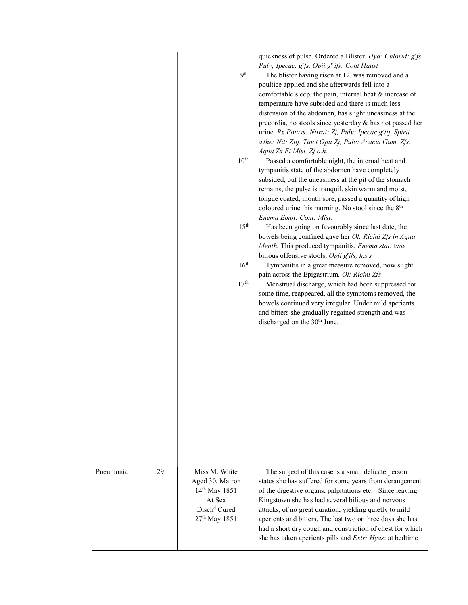|           |    |                           | quickness of pulse. Ordered a Blister. Hyd: Chlorid: g'fs.<br>Pulv; Ipecac. g'fs. Opii g' ifs: Cont Haust |
|-----------|----|---------------------------|-----------------------------------------------------------------------------------------------------------|
|           |    | 9 <sup>th</sup>           | The blister having risen at 12. was removed and a                                                         |
|           |    |                           | poultice applied and she afterwards fell into a                                                           |
|           |    |                           | comfortable sleep. the pain, internal heat & increase of                                                  |
|           |    |                           | temperature have subsided and there is much less                                                          |
|           |    |                           | distension of the abdomen, has slight uneasiness at the                                                   |
|           |    |                           | precordia, no stools since yesterday & has not passed her                                                 |
|           |    |                           | urine Rx Potass: Nitrat: Zj, Pulv: Ipecac g'iij, Spirit                                                   |
|           |    |                           | æthe: Nit: Ziij. Tinct Opii Zj, Pulv: Acacia Gum. Zfs,                                                    |
|           |    | $10^{\text{th}}$          | Aqua Zx Ft Mist. Zj o.h.<br>Passed a comfortable night, the internal heat and                             |
|           |    |                           | tympanitis state of the abdomen have completely                                                           |
|           |    |                           | subsided, but the uneasiness at the pit of the stomach                                                    |
|           |    |                           | remains, the pulse is tranquil, skin warm and moist,                                                      |
|           |    |                           | tongue coated, mouth sore, passed a quantity of high                                                      |
|           |    |                           | coloured urine this morning. No stool since the 8 <sup>th</sup>                                           |
|           |    |                           | Enema Emol: Cont: Mist.                                                                                   |
|           |    | 15 <sup>th</sup>          | Has been going on favourably since last date, the                                                         |
|           |    |                           | bowels being confined gave her Ol: Ricini Zfs in Aqua                                                     |
|           |    |                           | Menth. This produced tympanitis, Enema stat: two                                                          |
|           |    |                           | bilious offensive stools, Opii g'ifs, h.s.s                                                               |
|           |    | 16 <sup>th</sup>          | Tympanitis in a great measure removed, now slight                                                         |
|           |    |                           | pain across the Epigastrium, Ol: Ricini Zfs                                                               |
|           |    | 17 <sup>th</sup>          | Menstrual discharge, which had been suppressed for                                                        |
|           |    |                           | some time, reappeared, all the symptoms removed, the                                                      |
|           |    |                           | bowels continued very irregular. Under mild aperients                                                     |
|           |    |                           | and bitters she gradually regained strength and was                                                       |
|           |    |                           | discharged on the 30 <sup>th</sup> June.                                                                  |
|           |    |                           |                                                                                                           |
|           |    |                           |                                                                                                           |
|           |    |                           |                                                                                                           |
|           |    |                           |                                                                                                           |
|           |    |                           |                                                                                                           |
|           |    |                           |                                                                                                           |
|           |    |                           |                                                                                                           |
|           |    |                           |                                                                                                           |
|           |    |                           |                                                                                                           |
|           |    |                           |                                                                                                           |
|           |    |                           |                                                                                                           |
|           |    |                           |                                                                                                           |
|           |    |                           |                                                                                                           |
|           |    |                           |                                                                                                           |
| Pneumonia | 29 | Miss M. White             | The subject of this case is a small delicate person                                                       |
|           |    | Aged 30, Matron           | states she has suffered for some years from derangement                                                   |
|           |    | 14 <sup>th</sup> May 1851 | of the digestive organs, palpitations etc. Since leaving                                                  |
|           |    | At Sea                    | Kingstown she has had several bilious and nervous                                                         |
|           |    | Disch <sup>d</sup> Cured  | attacks, of no great duration, yielding quietly to mild                                                   |
|           |    | 27 <sup>th</sup> May 1851 | aperients and bitters. The last two or three days she has                                                 |
|           |    |                           | had a short dry cough and constriction of chest for which                                                 |
|           |    |                           | she has taken aperients pills and Extr: Hyas: at bedtime                                                  |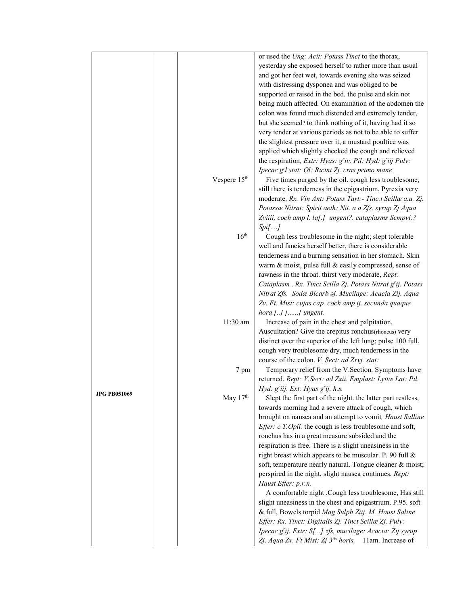|              |                          | or used the Ung: Acit: Potass Tinct to the thorax,                 |
|--------------|--------------------------|--------------------------------------------------------------------|
|              |                          | yesterday she exposed herself to rather more than usual            |
|              |                          |                                                                    |
|              |                          | and got her feet wet, towards evening she was seized               |
|              |                          | with distressing dysponea and was obliged to be                    |
|              |                          | supported or raised in the bed. the pulse and skin not             |
|              |                          | being much affected. On examination of the abdomen the             |
|              |                          | colon was found much distended and extremely tender,               |
|              |                          | but she seemed? to think nothing of it, having had it so           |
|              |                          | very tender at various periods as not to be able to suffer         |
|              |                          | the slightest pressure over it, a mustard poultice was             |
|              |                          | applied which slightly checked the cough and relieved              |
|              |                          | the respiration, Extr: Hyas: g'iv. Pil: Hyd: g'iij Pulv:           |
|              |                          | Ipecac g'l stat: Ol: Ricini Zj. cras primo mane                    |
|              | Vespere 15 <sup>th</sup> | Five times purged by the oil. cough less troublesome,              |
|              |                          | still there is tenderness in the epigastrium, Pyrexia very         |
|              |                          | moderate. Rx. Vin Ant: Potass Tart:- Tinc.t Scillæ a.a. Zj.        |
|              |                          | Potassæ Nitrat: Spirit aeth: Nit. a a Zfs. syrup Zj Aqua           |
|              |                          | Zviiii, coch amp l. la[.] ungent?. cataplasms Sempvi:?             |
|              |                          | Spi[]                                                              |
|              | 16 <sup>th</sup>         | Cough less troublesome in the night; slept tolerable               |
|              |                          | well and fancies herself better, there is considerable             |
|              |                          |                                                                    |
|              |                          | tenderness and a burning sensation in her stomach. Skin            |
|              |                          | warm & moist, pulse full & easily compressed, sense of             |
|              |                          | rawness in the throat. thirst very moderate, Rept:                 |
|              |                          | Cataplasm, Rx. Tinct Scilla Zj. Potass Nitrat g'ij. Potass         |
|              |                          | Nitrat Zfs. Sodæ Bicarb aj. Mucilage: Acacia Zij. Aqua             |
|              |                          | Zv. Ft. Mist: cujas cap. coch amp ij. secunda quaque               |
|              |                          | hora $[]$ [] ungent.                                               |
|              | $11:30$ am               | Increase of pain in the chest and palpitation.                     |
|              |                          | Auscultation? Give the crepitus ronchus(rhoneus) very              |
|              |                          | distinct over the superior of the left lung; pulse 100 full,       |
|              |                          | cough very troublesome dry, much tenderness in the                 |
|              |                          | course of the colon. V. Sect: ad Zxvj. stat:                       |
|              | 7 pm                     | Temporary relief from the V.Section. Symptoms have                 |
|              |                          | returned. Rept: V.Sect: ad Zxii. Emplast: Lyttæ Lat: Pil.          |
|              |                          | Hyd: g'iij. Ext: Hyas g'ij. h.s.                                   |
| JPG PB051069 | May 17th                 | Slept the first part of the night. the latter part restless,       |
|              |                          | towards morning had a severe attack of cough, which                |
|              |                          | brought on nausea and an attempt to vomit, Haust Salline           |
|              |                          | Effer: c T.Opii. the cough is less troublesome and soft,           |
|              |                          | ronchus has in a great measure subsided and the                    |
|              |                          | respiration is free. There is a slight uneasiness in the           |
|              |                          | right breast which appears to be muscular. P. 90 full &            |
|              |                          | soft, temperature nearly natural. Tongue cleaner & moist;          |
|              |                          | perspired in the night, slight nausea continues. Rept:             |
|              |                          | Haust Effer: p.r.n.                                                |
|              |                          | A comfortable night .Cough less troublesome, Has still             |
|              |                          | slight uneasiness in the chest and epigastrium. P.95. soft         |
|              |                          | & full, Bowels torpid Mag Sulph Ziij. M. Haust Saline              |
|              |                          | Effer: Rx. Tinct: Digitalis Zj. Tinct Scillæ Zj. Pulv:             |
|              |                          |                                                                    |
|              |                          | Ipecac g'ij. Extr: S[] zfs, mucilage: Acacia: Zij syrup            |
|              |                          | Zj. Aqua Zv. Ft Mist: Zj 3 <sup>tis</sup> horis, 11am. Increase of |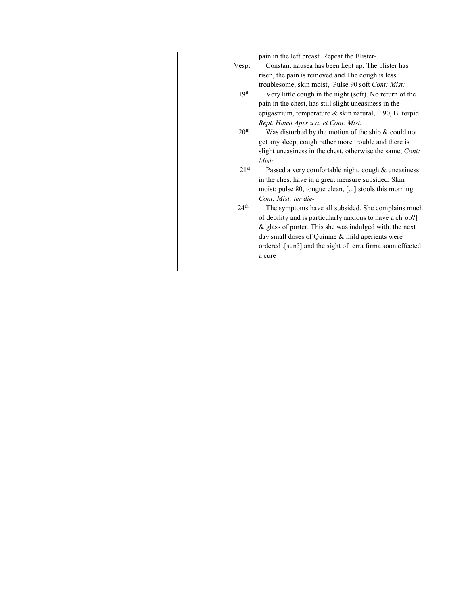|  |                  | pain in the left breast. Repeat the Blister-               |
|--|------------------|------------------------------------------------------------|
|  | Vesp:            | Constant nausea has been kept up. The blister has          |
|  |                  | risen, the pain is removed and The cough is less           |
|  |                  | troublesome, skin moist, Pulse 90 soft Cont: Mist:         |
|  | 19 <sup>th</sup> | Very little cough in the night (soft). No return of the    |
|  |                  | pain in the chest, has still slight uneasiness in the      |
|  |                  | epigastrium, temperature & skin natural, P.90, B. torpid   |
|  |                  | Rept. Haust Aper u.a. et Cont. Mist.                       |
|  | 20 <sup>th</sup> | Was disturbed by the motion of the ship $&$ could not      |
|  |                  | get any sleep, cough rather more trouble and there is      |
|  |                  | slight uneasiness in the chest, otherwise the same, Cont:  |
|  |                  | Mist:                                                      |
|  | 21 <sup>st</sup> | Passed a very comfortable night, cough & uneasiness        |
|  |                  | in the chest have in a great measure subsided. Skin        |
|  |                  | moist: pulse 80, tongue clean, [] stools this morning.     |
|  |                  | Cont: Mist: ter die-                                       |
|  | 24 <sup>th</sup> | The symptoms have all subsided. She complains much         |
|  |                  | of debility and is particularly anxious to have a ch[op?]  |
|  |                  | $\&$ glass of porter. This she was indulged with. the next |
|  |                  | day small doses of Quinine & mild aperients were           |
|  |                  | ordered .[sun?] and the sight of terra firma soon effected |
|  |                  | a cure                                                     |
|  |                  |                                                            |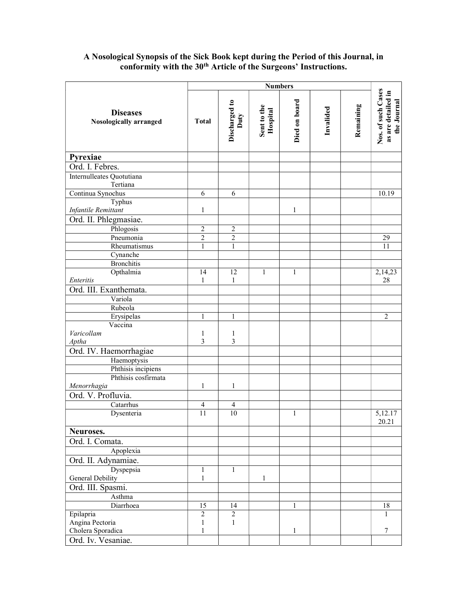## A Nosological Synopsis of the Sick Book kept during the Period of this Journal, in conformity with the 30<sup>th</sup> Article of the Surgeons' Instructions.

|                                           | <b>Numbers</b>  |                       |                         |               |           |           |                                                         |
|-------------------------------------------|-----------------|-----------------------|-------------------------|---------------|-----------|-----------|---------------------------------------------------------|
| <b>Diseases</b><br>Nosologically arranged | <b>Total</b>    | Discharged to<br>Duty | Sent to the<br>Hospital | Died on board | Invalided | Remaining | Nos. of such Cases<br>as are detailed in<br>the Journal |
| Pyrexiae                                  |                 |                       |                         |               |           |           |                                                         |
| Ord. I. Febres.                           |                 |                       |                         |               |           |           |                                                         |
| Internulleates Quotutiana<br>Tertiana     |                 |                       |                         |               |           |           |                                                         |
| Continua Synochus                         | 6               | 6                     |                         |               |           |           | 10.19                                                   |
| Typhus                                    |                 |                       |                         |               |           |           |                                                         |
| <b>Infantile Remittant</b>                | 1               |                       |                         | $\mathbf{1}$  |           |           |                                                         |
| Ord. II. Phlegmasiae.                     |                 |                       |                         |               |           |           |                                                         |
| Phlogosis                                 | $\overline{2}$  | $\overline{2}$        |                         |               |           |           |                                                         |
| Pneumonia                                 | $\overline{c}$  | $\overline{c}$        |                         |               |           |           | 29                                                      |
| Rheumatismus                              | $\mathbf{1}$    | $\mathbf{1}$          |                         |               |           |           | 11                                                      |
| Cynanche                                  |                 |                       |                         |               |           |           |                                                         |
| <b>Bronchitis</b>                         |                 |                       |                         |               |           |           |                                                         |
| Opthalmia                                 | 14              | 12                    | $\mathbf{1}$            | $\mathbf{1}$  |           |           | 2,14,23                                                 |
| Enteritis                                 | $\mathbf{1}$    | $\mathbf{1}$          |                         |               |           |           | 28                                                      |
| Ord. III. Exanthemata.                    |                 |                       |                         |               |           |           |                                                         |
| Variola                                   |                 |                       |                         |               |           |           |                                                         |
| Rubeola                                   |                 |                       |                         |               |           |           |                                                         |
| Erysipelas                                | 1               | $\mathbf{1}$          |                         |               |           |           | $\overline{2}$                                          |
| Vaccina                                   |                 |                       |                         |               |           |           |                                                         |
| Varicollam                                | 1               | 1                     |                         |               |           |           |                                                         |
| Aptha                                     | 3               | 3                     |                         |               |           |           |                                                         |
| Ord. IV. Haemorrhagiae                    |                 |                       |                         |               |           |           |                                                         |
| Haemoptysis                               |                 |                       |                         |               |           |           |                                                         |
| Phthisis incipiens                        |                 |                       |                         |               |           |           |                                                         |
| Phthisis cosfirmata                       |                 |                       |                         |               |           |           |                                                         |
| Menorrhagia                               | 1               | $\mathbf{1}$          |                         |               |           |           |                                                         |
| Ord. V. Profluvia.                        |                 |                       |                         |               |           |           |                                                         |
| Catarrhus                                 | 4               | $\overline{4}$        |                         |               |           |           |                                                         |
| Dysenteria                                | $\overline{11}$ | 10                    |                         | 1             |           |           | 5,12.17<br>20.21                                        |
| Neuroses.                                 |                 |                       |                         |               |           |           |                                                         |
| Ord. I. Comata.                           |                 |                       |                         |               |           |           |                                                         |
| Apoplexia                                 |                 |                       |                         |               |           |           |                                                         |
| Ord. II. Adynamiae.                       |                 |                       |                         |               |           |           |                                                         |
| Dyspepsia                                 | 1               | $\mathbf{1}$          |                         |               |           |           |                                                         |
| General Debility                          | $\mathbf{1}$    |                       | $\mathbf{1}$            |               |           |           |                                                         |
| Ord. III. Spasmi.                         |                 |                       |                         |               |           |           |                                                         |
| Asthma                                    |                 |                       |                         |               |           |           |                                                         |
| Diarrhoea                                 | 15              | 14                    |                         | 1             |           |           | 18                                                      |
| Epilapria                                 | $\overline{2}$  | $\overline{2}$        |                         |               |           |           | $\mathbf{1}$                                            |
| Angina Pectoria                           | $\mathbf{1}$    | $\mathbf{1}$          |                         |               |           |           |                                                         |
| Cholera Sporadica                         | 1               |                       |                         | 1             |           |           | $\boldsymbol{7}$                                        |
| Ord. Iv. Vesaniae.                        |                 |                       |                         |               |           |           |                                                         |
|                                           |                 |                       |                         |               |           |           |                                                         |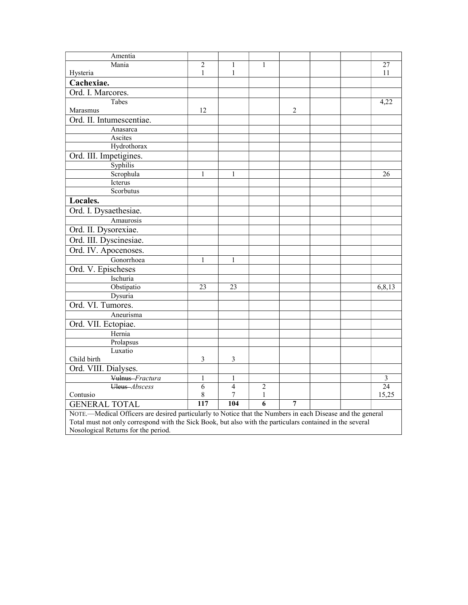| Amentia                                                                                                    |                |                |                |                  |  |  |                |
|------------------------------------------------------------------------------------------------------------|----------------|----------------|----------------|------------------|--|--|----------------|
| Mania                                                                                                      | $\overline{2}$ | 1              | $\mathbf{1}$   |                  |  |  | 27             |
| Hysteria                                                                                                   | $\mathbf{1}$   | $\mathbf{1}$   |                |                  |  |  | 11             |
| Cachexiae.                                                                                                 |                |                |                |                  |  |  |                |
| Ord. I. Marcores.                                                                                          |                |                |                |                  |  |  |                |
| Tabes                                                                                                      |                |                |                |                  |  |  | 4,22           |
| Marasmus                                                                                                   | 12             |                |                | $\boldsymbol{2}$ |  |  |                |
| Ord. II. Intumescentiae.                                                                                   |                |                |                |                  |  |  |                |
| Anasarca                                                                                                   |                |                |                |                  |  |  |                |
| Ascites                                                                                                    |                |                |                |                  |  |  |                |
| Hydrothorax                                                                                                |                |                |                |                  |  |  |                |
| Ord. III. Impetigines.                                                                                     |                |                |                |                  |  |  |                |
| Syphilis                                                                                                   |                |                |                |                  |  |  |                |
| Scrophula                                                                                                  | $\mathbf{1}$   | 1              |                |                  |  |  | 26             |
| Icterus                                                                                                    |                |                |                |                  |  |  |                |
| Scorbutus                                                                                                  |                |                |                |                  |  |  |                |
| Locales.                                                                                                   |                |                |                |                  |  |  |                |
| Ord. I. Dysaethesiae.                                                                                      |                |                |                |                  |  |  |                |
| Amaurosis                                                                                                  |                |                |                |                  |  |  |                |
| Ord. II. Dysorexiae.                                                                                       |                |                |                |                  |  |  |                |
| Ord. III. Dyscinesiae.                                                                                     |                |                |                |                  |  |  |                |
| Ord. IV. Apocenoses.                                                                                       |                |                |                |                  |  |  |                |
| Gonorrhoea                                                                                                 | $\mathbf{1}$   | 1              |                |                  |  |  |                |
| Ord. V. Epischeses                                                                                         |                |                |                |                  |  |  |                |
| Ischuria                                                                                                   |                |                |                |                  |  |  |                |
| Obstipatio                                                                                                 | 23             | 23             |                |                  |  |  | 6,8,13         |
| Dysuria                                                                                                    |                |                |                |                  |  |  |                |
| Ord. VI. Tumores.                                                                                          |                |                |                |                  |  |  |                |
| Aneurisma                                                                                                  |                |                |                |                  |  |  |                |
|                                                                                                            |                |                |                |                  |  |  |                |
| Ord. VII. Ectopiae.<br>Hernia                                                                              |                |                |                |                  |  |  |                |
| Prolapsus                                                                                                  |                |                |                |                  |  |  |                |
| Luxatio                                                                                                    |                |                |                |                  |  |  |                |
| Child birth                                                                                                | $\mathfrak{Z}$ | 3              |                |                  |  |  |                |
| Ord. VIII. Dialyses.                                                                                       |                |                |                |                  |  |  |                |
| Vulnus-Fractura                                                                                            | $\mathbf{1}$   | 1              |                |                  |  |  | $\mathfrak{Z}$ |
| Uleus-Abscess                                                                                              | $\overline{6}$ | $\overline{4}$ | $\overline{2}$ |                  |  |  | 24             |
| Contusio                                                                                                   | $\,$ $\,$      | $\tau$         | $\mathbf{1}$   |                  |  |  | 15,25          |
| <b>GENERAL TOTAL</b>                                                                                       | 117            | 104            | $\overline{6}$ | 7                |  |  |                |
| NOTE.—Medical Officers are desired particularly to Notice that the Numbers in each Disease and the general |                |                |                |                  |  |  |                |
| Total must not only correspond with the Sick Book, but also with the particulars contained in the several  |                |                |                |                  |  |  |                |
| Nosological Returns for the period.                                                                        |                |                |                |                  |  |  |                |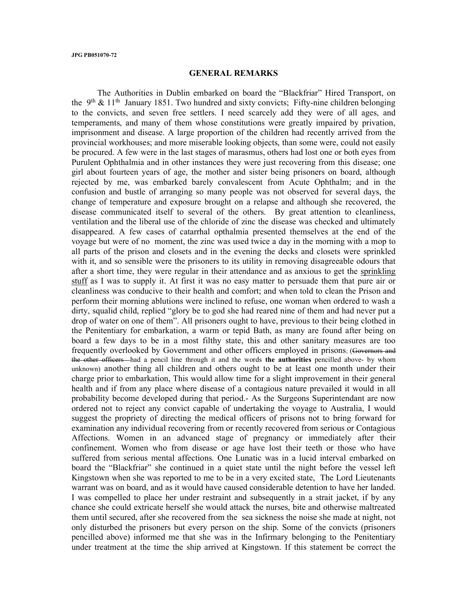## GENERAL REMARKS

 The Authorities in Dublin embarked on board the "Blackfriar" Hired Transport, on the 9<sup>th</sup> & 11<sup>th</sup> January 1851. Two hundred and sixty convicts; Fifty-nine children belonging to the convicts, and seven free settlers. I need scarcely add they were of all ages, and temperaments, and many of them whose constitutions were greatly impaired by privation, imprisonment and disease. A large proportion of the children had recently arrived from the provincial workhouses; and more miserable looking objects, than some were, could not easily be procured. A few were in the last stages of marasmus, others had lost one or both eyes from Purulent Ophthalmia and in other instances they were just recovering from this disease; one girl about fourteen years of age, the mother and sister being prisoners on board, although rejected by me, was embarked barely convalescent from Acute Ophthalm; and in the confusion and bustle of arranging so many people was not observed for several days, the change of temperature and exposure brought on a relapse and although she recovered, the disease communicated itself to several of the others. By great attention to cleanliness, ventilation and the liberal use of the chloride of zinc the disease was checked and ultimately disappeared. A few cases of catarrhal opthalmia presented themselves at the end of the voyage but were of no moment, the zinc was used twice a day in the morning with a mop to all parts of the prison and closets and in the evening the decks and closets were sprinkled with it, and so sensible were the prisoners to its utility in removing disagreeable odours that after a short time, they were regular in their attendance and as anxious to get the sprinkling stuff as I was to supply it. At first it was no easy matter to persuade them that pure air or cleanliness was conducive to their health and comfort; and when told to clean the Prison and perform their morning ablutions were inclined to refuse, one woman when ordered to wash a dirty, squalid child, replied "glory be to god she had reared nine of them and had never put a drop of water on one of them". All prisoners ought to have, previous to their being clothed in the Penitentiary for embarkation, a warm or tepid Bath, as many are found after being on board a few days to be in a most filthy state, this and other sanitary measures are too frequently overlooked by Government and other officers employed in prisons; (Governors and the other officers—had a pencil line through it and the words the authorities pencilled above- by whom unknown) another thing all children and others ought to be at least one month under their charge prior to embarkation, This would allow time for a slight improvement in their general health and if from any place where disease of a contagious nature prevailed it would in all probability become developed during that period.- As the Surgeons Superintendant are now ordered not to reject any convict capable of undertaking the voyage to Australia, I would suggest the propriety of directing the medical officers of prisons not to bring forward for examination any individual recovering from or recently recovered from serious or Contagious Affections. Women in an advanced stage of pregnancy or immediately after their confinement. Women who from disease or age have lost their teeth or those who have suffered from serious mental affections. One Lunatic was in a lucid interval embarked on board the "Blackfriar" she continued in a quiet state until the night before the vessel left Kingstown when she was reported to me to be in a very excited state, The Lord Lieutenants warrant was on board, and as it would have caused considerable detention to have her landed. I was compelled to place her under restraint and subsequently in a strait jacket, if by any chance she could extricate herself she would attack the nurses, bite and otherwise maltreated them until secured, after she recovered from the sea sickness the noise she made at night, not only disturbed the prisoners but every person on the ship. Some of the convicts (prisoners pencilled above) informed me that she was in the Infirmary belonging to the Penitentiary under treatment at the time the ship arrived at Kingstown. If this statement be correct the